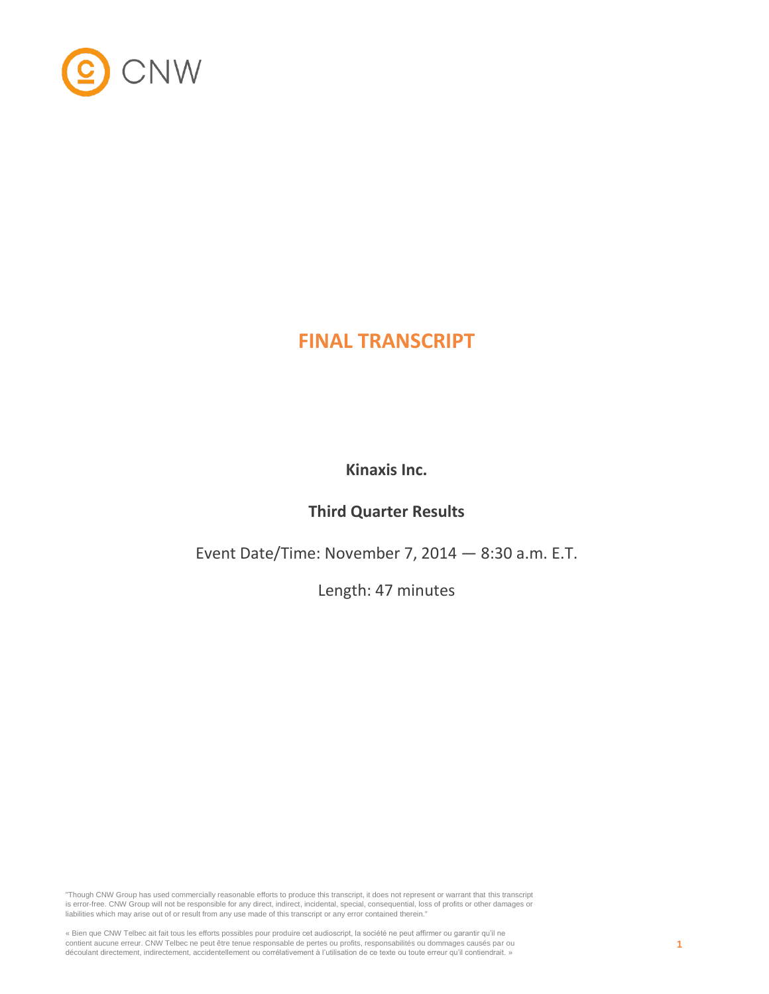

# **FINAL TRANSCRIPT**

**Kinaxis Inc.**

## **Third Quarter Results**

Event Date/Time: November 7, 2014 — 8:30 a.m. E.T.

Length: 47 minutes

"Though CNW Group has used commercially reasonable efforts to produce this transcript, it does not represent or warrant that this transcript is error-free. CNW Group will not be responsible for any direct, indirect, incidental, special, consequential, loss of profits or other damages or liabilities which may arise out of or result from any use made of this transcript or any error contained therein."

« Bien que CNW Telbec ait fait tous les efforts possibles pour produire cet audioscript, la société ne peut affirmer ou garantir qu'il ne contient aucune erreur. CNW Telbec ne peut être tenue responsable de pertes ou profits, responsabilités ou dommages causés par ou découlant directement, indirectement, accidentellement ou corrélativement à l'utilisation de ce texte ou toute erreur qu'il contiendrait. »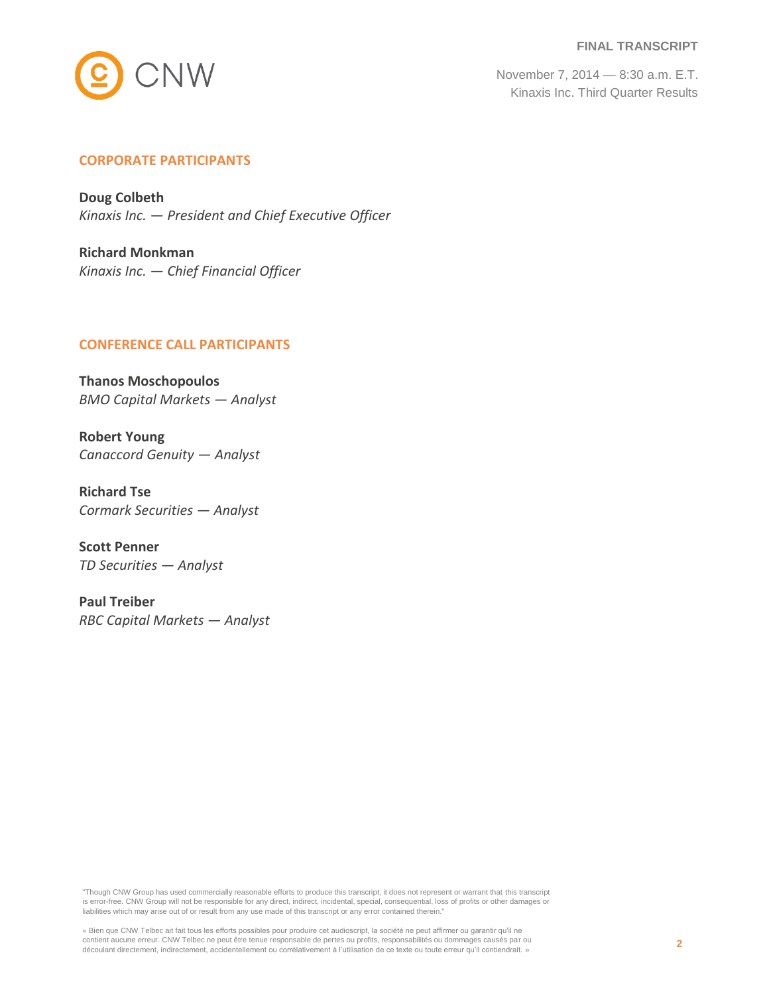**FINAL TRANSCRIPT**



November 7, 2014 — 8:30 a.m. E.T. Kinaxis Inc. Third Quarter Results

## **CORPORATE PARTICIPANTS**

**Doug Colbeth** *Kinaxis Inc. — President and Chief Executive Officer*

**Richard Monkman** *Kinaxis Inc. — Chief Financial Officer*

#### **CONFERENCE CALL PARTICIPANTS**

**Thanos Moschopoulos** *BMO Capital Markets — Analyst*

**Robert Young** *Canaccord Genuity — Analyst*

**Richard Tse** *Cormark Securities — Analyst*

**Scott Penner** *TD Securities — Analyst*

**Paul Treiber** *RBC Capital Markets — Analyst*

"Though CNW Group has used commercially reasonable efforts to produce this transcript, it does not represent or warrant that this transcript is error-free. CNW Group will not be responsible for any direct, indirect, incidental, special, consequential, loss of profits or other damages or liabilities which may arise out of or result from any use made of this transcript or any error contained therein."

« Bien que CNW Telbec ait fait tous les efforts possibles pour produire cet audioscript, la société ne peut affirmer ou garantir qu'il ne contient aucune erreur. CNW Telbec ne peut être tenue responsable de pertes ou profits, responsabilités ou dommages causés par ou découlant directement, indirectement, accidentellement ou corrélativement à l'utilisation de ce texte ou toute erreur qu'il contiendrait. »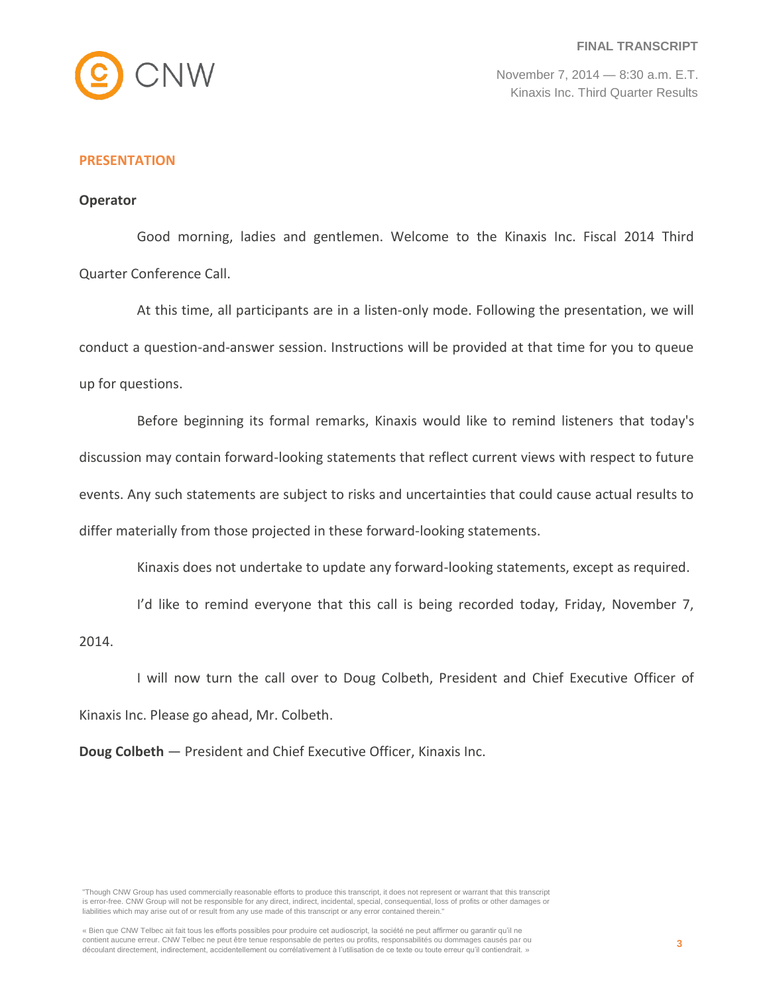

## **PRESENTATION**

## **Operator**

Good morning, ladies and gentlemen. Welcome to the Kinaxis Inc. Fiscal 2014 Third Quarter Conference Call.

At this time, all participants are in a listen-only mode. Following the presentation, we will conduct a question-and-answer session. Instructions will be provided at that time for you to queue up for questions.

Before beginning its formal remarks, Kinaxis would like to remind listeners that today's discussion may contain forward-looking statements that reflect current views with respect to future events. Any such statements are subject to risks and uncertainties that could cause actual results to differ materially from those projected in these forward-looking statements.

Kinaxis does not undertake to update any forward-looking statements, except as required.

I'd like to remind everyone that this call is being recorded today, Friday, November 7,

2014.

I will now turn the call over to Doug Colbeth, President and Chief Executive Officer of Kinaxis Inc. Please go ahead, Mr. Colbeth.

**Doug Colbeth** — President and Chief Executive Officer, Kinaxis Inc.

"Though CNW Group has used commercially reasonable efforts to produce this transcript, it does not represent or warrant that this transcript is error-free. CNW Group will not be responsible for any direct, indirect, incidental, special, consequential, loss of profits or other damages or liabilities which may arise out of or result from any use made of this transcript or any error contained therein."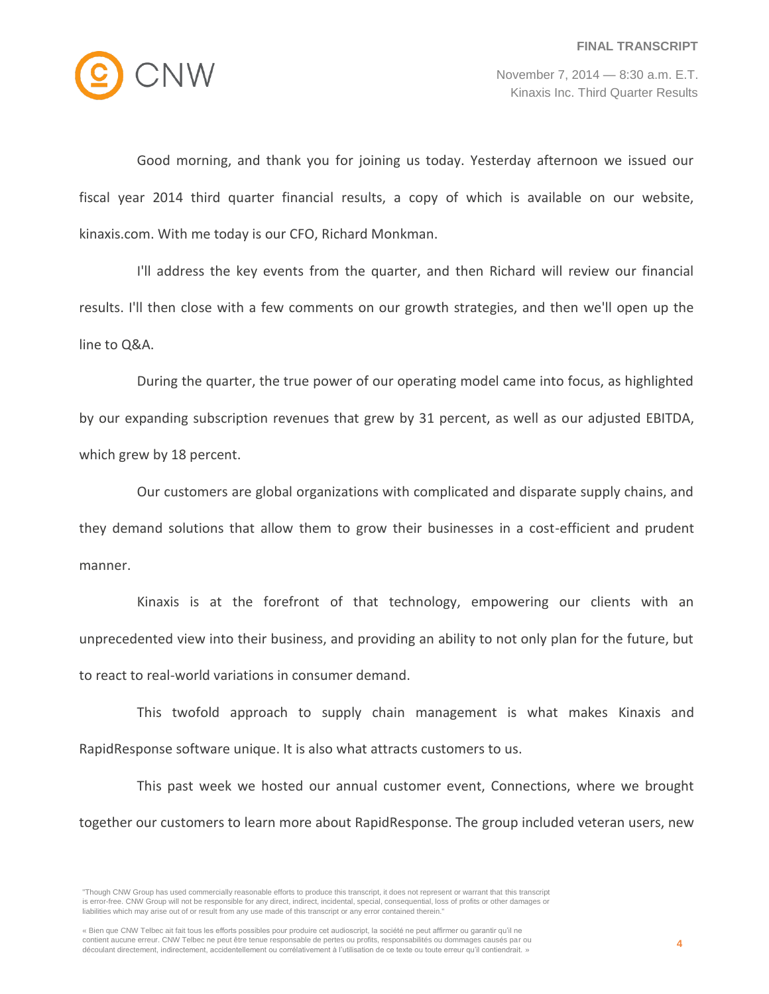

Good morning, and thank you for joining us today. Yesterday afternoon we issued our fiscal year 2014 third quarter financial results, a copy of which is available on our website, kinaxis.com. With me today is our CFO, Richard Monkman.

I'll address the key events from the quarter, and then Richard will review our financial results. I'll then close with a few comments on our growth strategies, and then we'll open up the line to Q&A.

During the quarter, the true power of our operating model came into focus, as highlighted by our expanding subscription revenues that grew by 31 percent, as well as our adjusted EBITDA, which grew by 18 percent.

Our customers are global organizations with complicated and disparate supply chains, and they demand solutions that allow them to grow their businesses in a cost-efficient and prudent manner.

Kinaxis is at the forefront of that technology, empowering our clients with an unprecedented view into their business, and providing an ability to not only plan for the future, but to react to real-world variations in consumer demand.

This twofold approach to supply chain management is what makes Kinaxis and RapidResponse software unique. It is also what attracts customers to us.

This past week we hosted our annual customer event, Connections, where we brought together our customers to learn more about RapidResponse. The group included veteran users, new

<sup>&</sup>quot;Though CNW Group has used commercially reasonable efforts to produce this transcript, it does not represent or warrant that this transcript is error-free. CNW Group will not be responsible for any direct, indirect, incidental, special, consequential, loss of profits or other damages or liabilities which may arise out of or result from any use made of this transcript or any error contained therein."

<sup>«</sup> Bien que CNW Telbec ait fait tous les efforts possibles pour produire cet audioscript, la société ne peut affirmer ou garantir qu'il ne contient aucune erreur. CNW Telbec ne peut être tenue responsable de pertes ou profits, responsabilités ou dommages causés par ou découlant directement, indirectement, accidentellement ou corrélativement à l'utilisation de ce texte ou toute erreur qu'il contiendrait. »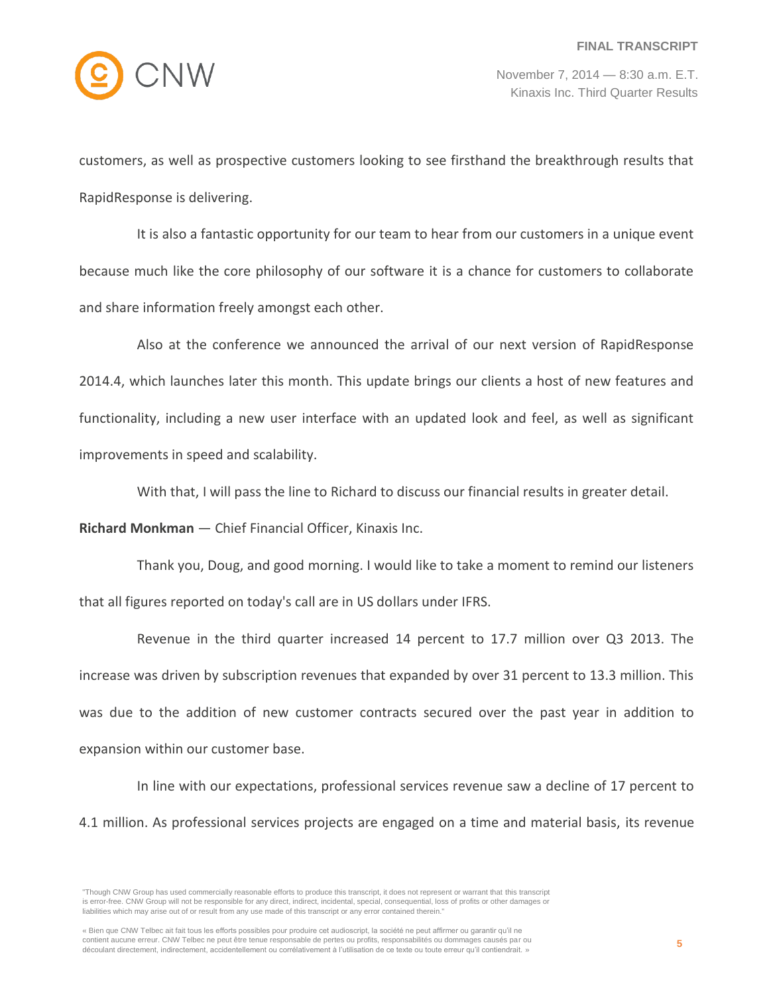

customers, as well as prospective customers looking to see firsthand the breakthrough results that RapidResponse is delivering.

It is also a fantastic opportunity for our team to hear from our customers in a unique event because much like the core philosophy of our software it is a chance for customers to collaborate and share information freely amongst each other.

Also at the conference we announced the arrival of our next version of RapidResponse 2014.4, which launches later this month. This update brings our clients a host of new features and functionality, including a new user interface with an updated look and feel, as well as significant improvements in speed and scalability.

With that, I will pass the line to Richard to discuss our financial results in greater detail.

**Richard Monkman** — Chief Financial Officer, Kinaxis Inc.

Thank you, Doug, and good morning. I would like to take a moment to remind our listeners that all figures reported on today's call are in US dollars under IFRS.

Revenue in the third quarter increased 14 percent to 17.7 million over Q3 2013. The increase was driven by subscription revenues that expanded by over 31 percent to 13.3 million. This was due to the addition of new customer contracts secured over the past year in addition to expansion within our customer base.

In line with our expectations, professional services revenue saw a decline of 17 percent to 4.1 million. As professional services projects are engaged on a time and material basis, its revenue

<sup>&</sup>quot;Though CNW Group has used commercially reasonable efforts to produce this transcript, it does not represent or warrant that this transcript is error-free. CNW Group will not be responsible for any direct, indirect, incidental, special, consequential, loss of profits or other damages or liabilities which may arise out of or result from any use made of this transcript or any error contained therein."

<sup>«</sup> Bien que CNW Telbec ait fait tous les efforts possibles pour produire cet audioscript, la société ne peut affirmer ou garantir qu'il ne contient aucune erreur. CNW Telbec ne peut être tenue responsable de pertes ou profits, responsabilités ou dommages causés par ou découlant directement, indirectement, accidentellement ou corrélativement à l'utilisation de ce texte ou toute erreur qu'il contiendrait. »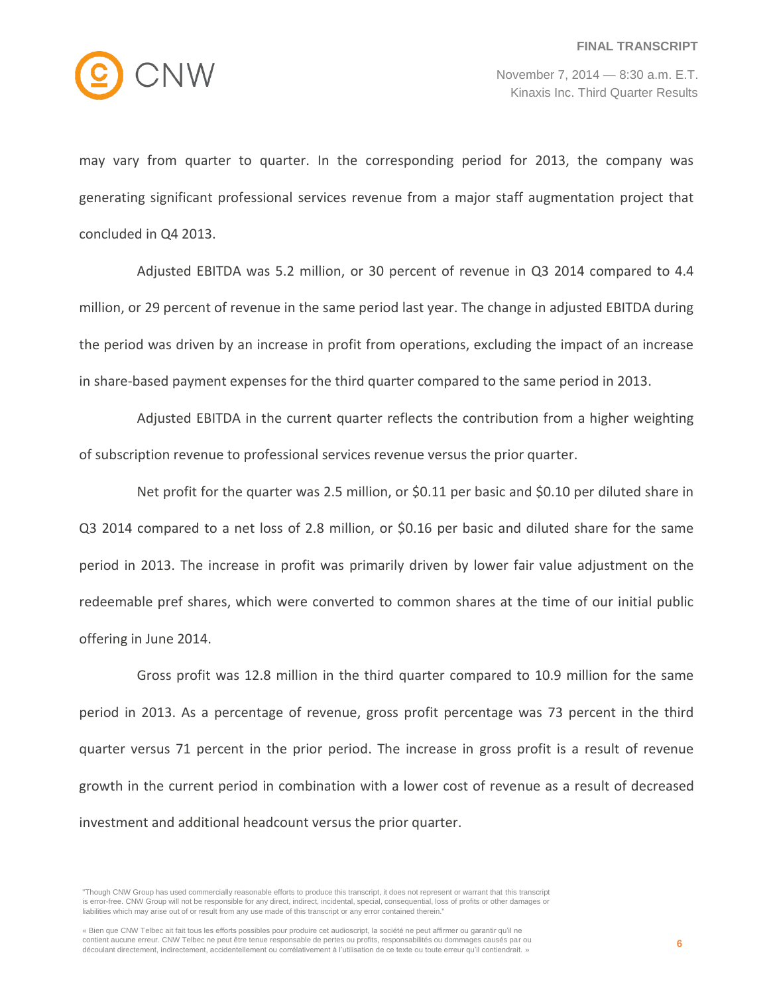

may vary from quarter to quarter. In the corresponding period for 2013, the company was generating significant professional services revenue from a major staff augmentation project that concluded in Q4 2013.

Adjusted EBITDA was 5.2 million, or 30 percent of revenue in Q3 2014 compared to 4.4 million, or 29 percent of revenue in the same period last year. The change in adjusted EBITDA during the period was driven by an increase in profit from operations, excluding the impact of an increase in share-based payment expenses for the third quarter compared to the same period in 2013.

Adjusted EBITDA in the current quarter reflects the contribution from a higher weighting of subscription revenue to professional services revenue versus the prior quarter.

Net profit for the quarter was 2.5 million, or \$0.11 per basic and \$0.10 per diluted share in Q3 2014 compared to a net loss of 2.8 million, or \$0.16 per basic and diluted share for the same period in 2013. The increase in profit was primarily driven by lower fair value adjustment on the redeemable pref shares, which were converted to common shares at the time of our initial public offering in June 2014.

Gross profit was 12.8 million in the third quarter compared to 10.9 million for the same period in 2013. As a percentage of revenue, gross profit percentage was 73 percent in the third quarter versus 71 percent in the prior period. The increase in gross profit is a result of revenue growth in the current period in combination with a lower cost of revenue as a result of decreased investment and additional headcount versus the prior quarter.

<sup>&</sup>quot;Though CNW Group has used commercially reasonable efforts to produce this transcript, it does not represent or warrant that this transcript is error-free. CNW Group will not be responsible for any direct, indirect, incidental, special, consequential, loss of profits or other damages or liabilities which may arise out of or result from any use made of this transcript or any error contained therein."

<sup>«</sup> Bien que CNW Telbec ait fait tous les efforts possibles pour produire cet audioscript, la société ne peut affirmer ou garantir qu'il ne contient aucune erreur. CNW Telbec ne peut être tenue responsable de pertes ou profits, responsabilités ou dommages causés par ou découlant directement, indirectement, accidentellement ou corrélativement à l'utilisation de ce texte ou toute erreur qu'il contiendrait. »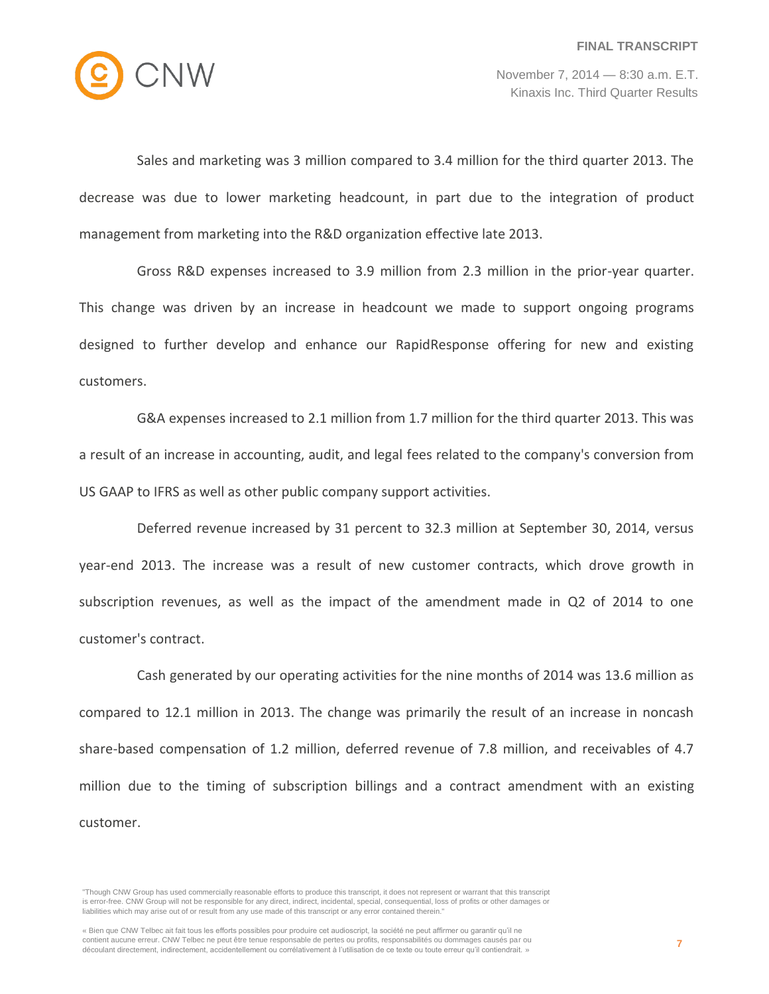

Sales and marketing was 3 million compared to 3.4 million for the third quarter 2013. The decrease was due to lower marketing headcount, in part due to the integration of product management from marketing into the R&D organization effective late 2013.

Gross R&D expenses increased to 3.9 million from 2.3 million in the prior-year quarter. This change was driven by an increase in headcount we made to support ongoing programs designed to further develop and enhance our RapidResponse offering for new and existing customers.

G&A expenses increased to 2.1 million from 1.7 million for the third quarter 2013. This was a result of an increase in accounting, audit, and legal fees related to the company's conversion from US GAAP to IFRS as well as other public company support activities.

Deferred revenue increased by 31 percent to 32.3 million at September 30, 2014, versus year-end 2013. The increase was a result of new customer contracts, which drove growth in subscription revenues, as well as the impact of the amendment made in Q2 of 2014 to one customer's contract.

Cash generated by our operating activities for the nine months of 2014 was 13.6 million as compared to 12.1 million in 2013. The change was primarily the result of an increase in noncash share-based compensation of 1.2 million, deferred revenue of 7.8 million, and receivables of 4.7 million due to the timing of subscription billings and a contract amendment with an existing customer.

<sup>&</sup>quot;Though CNW Group has used commercially reasonable efforts to produce this transcript, it does not represent or warrant that this transcript is error-free. CNW Group will not be responsible for any direct, indirect, incidental, special, consequential, loss of profits or other damages or liabilities which may arise out of or result from any use made of this transcript or any error contained therein."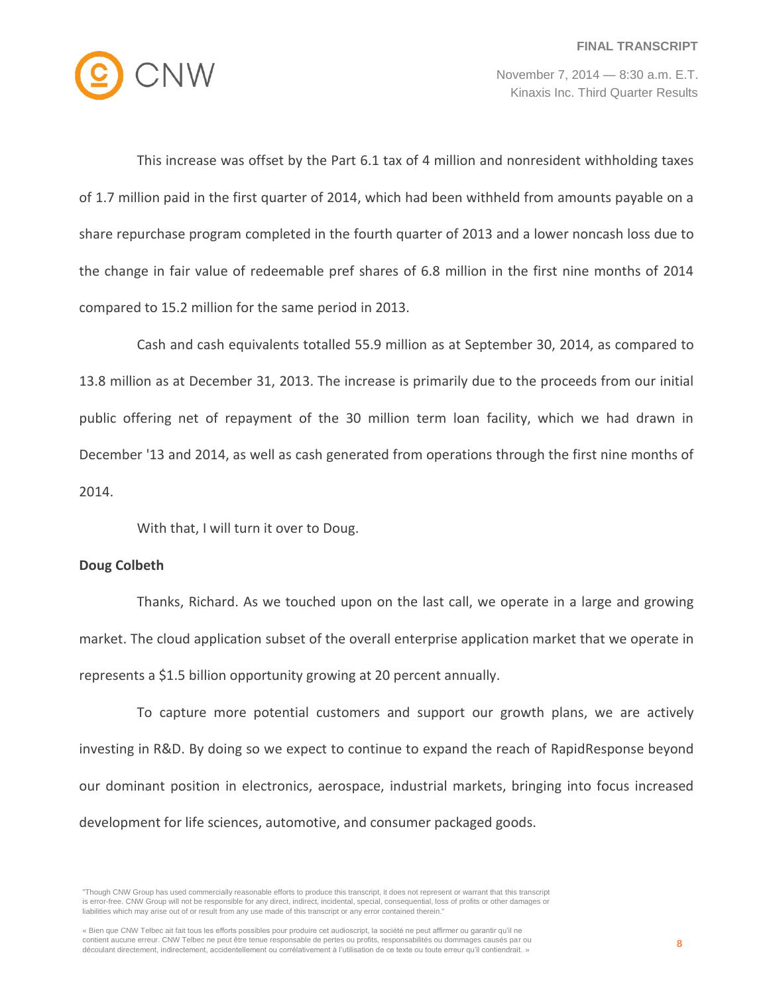

This increase was offset by the Part 6.1 tax of 4 million and nonresident withholding taxes of 1.7 million paid in the first quarter of 2014, which had been withheld from amounts payable on a share repurchase program completed in the fourth quarter of 2013 and a lower noncash loss due to the change in fair value of redeemable pref shares of 6.8 million in the first nine months of 2014 compared to 15.2 million for the same period in 2013.

Cash and cash equivalents totalled 55.9 million as at September 30, 2014, as compared to 13.8 million as at December 31, 2013. The increase is primarily due to the proceeds from our initial public offering net of repayment of the 30 million term loan facility, which we had drawn in December '13 and 2014, as well as cash generated from operations through the first nine months of 2014.

With that, I will turn it over to Doug.

#### **Doug Colbeth**

Thanks, Richard. As we touched upon on the last call, we operate in a large and growing market. The cloud application subset of the overall enterprise application market that we operate in represents a \$1.5 billion opportunity growing at 20 percent annually.

To capture more potential customers and support our growth plans, we are actively investing in R&D. By doing so we expect to continue to expand the reach of RapidResponse beyond our dominant position in electronics, aerospace, industrial markets, bringing into focus increased development for life sciences, automotive, and consumer packaged goods.

<sup>&</sup>quot;Though CNW Group has used commercially reasonable efforts to produce this transcript, it does not represent or warrant that this transcript is error-free. CNW Group will not be responsible for any direct, indirect, incidental, special, consequential, loss of profits or other damages or liabilities which may arise out of or result from any use made of this transcript or any error contained therein."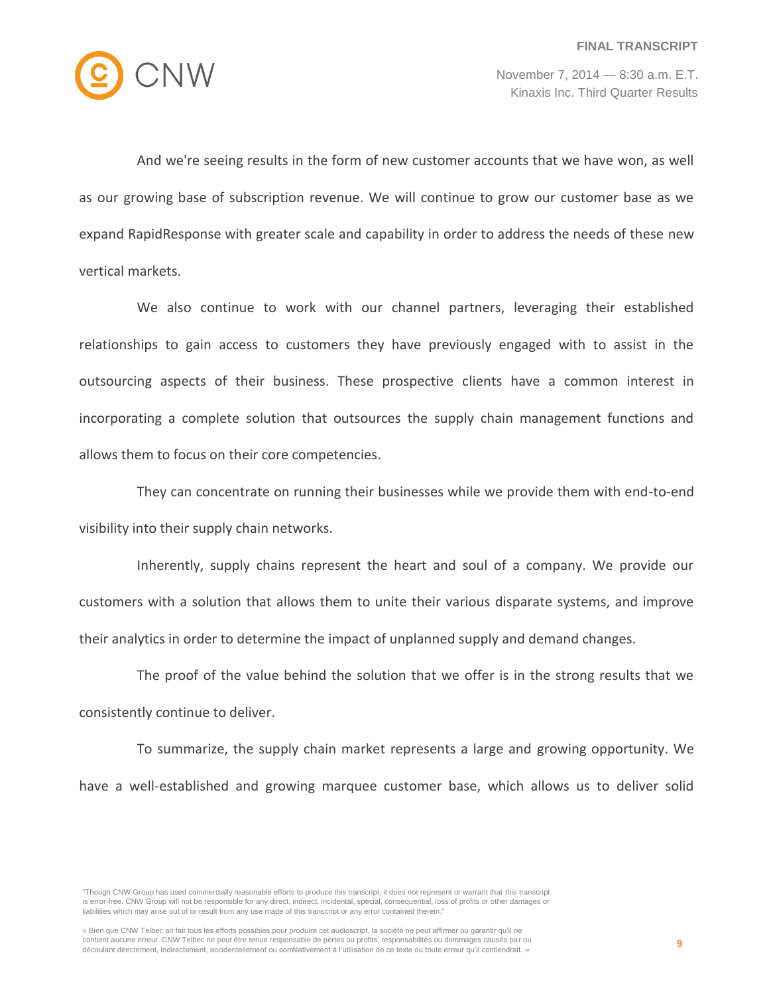

And we're seeing results in the form of new customer accounts that we have won, as well as our growing base of subscription revenue. We will continue to grow our customer base as we expand RapidResponse with greater scale and capability in order to address the needs of these new vertical markets.

We also continue to work with our channel partners, leveraging their established relationships to gain access to customers they have previously engaged with to assist in the outsourcing aspects of their business. These prospective clients have a common interest in incorporating a complete solution that outsources the supply chain management functions and allows them to focus on their core competencies.

They can concentrate on running their businesses while we provide them with end-to-end visibility into their supply chain networks.

Inherently, supply chains represent the heart and soul of a company. We provide our customers with a solution that allows them to unite their various disparate systems, and improve their analytics in order to determine the impact of unplanned supply and demand changes.

The proof of the value behind the solution that we offer is in the strong results that we consistently continue to deliver.

To summarize, the supply chain market represents a large and growing opportunity. We have a well-established and growing marquee customer base, which allows us to deliver solid

"Though CNW Group has used commercially reasonable efforts to produce this transcript, it does not represent or warrant that this transcript is error-free. CNW Group will not be responsible for any direct, indirect, incidental, special, consequential, loss of profits or other damages or liabilities which may arise out of or result from any use made of this transcript or any error contained therein."

« Bien que CNW Telbec ait fait tous les efforts possibles pour produire cet audioscript, la société ne peut affirmer ou garantir qu'il ne contient aucune erreur. CNW Telbec ne peut être tenue responsable de pertes ou profits, responsabilités ou dommages causés par ou découlant directement, indirectement, accidentellement ou corrélativement à l'utilisation de ce texte ou toute erreur qu'il contiendrait. »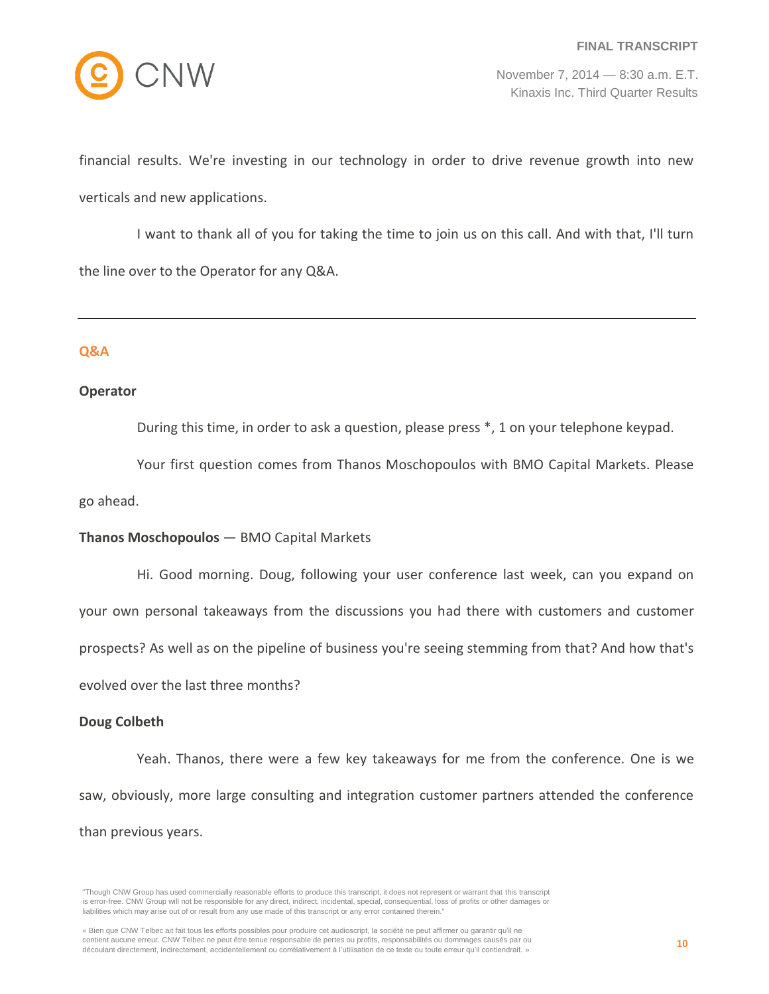

financial results. We're investing in our technology in order to drive revenue growth into new verticals and new applications.

I want to thank all of you for taking the time to join us on this call. And with that, I'll turn the line over to the Operator for any Q&A.

## **Q&A**

#### **Operator**

During this time, in order to ask a question, please press \*, 1 on your telephone keypad.

Your first question comes from Thanos Moschopoulos with BMO Capital Markets. Please go ahead.

## **Thanos Moschopoulos** — BMO Capital Markets

Hi. Good morning. Doug, following your user conference last week, can you expand on your own personal takeaways from the discussions you had there with customers and customer prospects? As well as on the pipeline of business you're seeing stemming from that? And how that's evolved over the last three months?

## **Doug Colbeth**

Yeah. Thanos, there were a few key takeaways for me from the conference. One is we saw, obviously, more large consulting and integration customer partners attended the conference than previous years.

<sup>&</sup>quot;Though CNW Group has used commercially reasonable efforts to produce this transcript, it does not represent or warrant that this transcript is error-free. CNW Group will not be responsible for any direct, indirect, incidental, special, consequential, loss of profits or other damages or liabilities which may arise out of or result from any use made of this transcript or any error contained therein."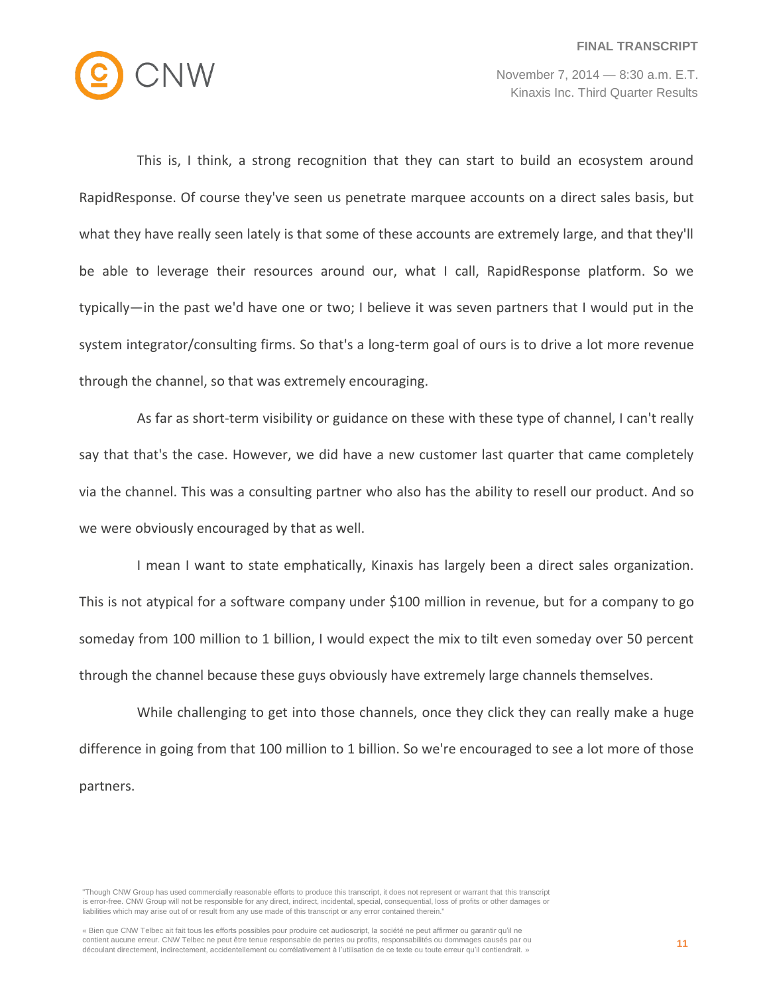

This is, I think, a strong recognition that they can start to build an ecosystem around RapidResponse. Of course they've seen us penetrate marquee accounts on a direct sales basis, but what they have really seen lately is that some of these accounts are extremely large, and that they'll be able to leverage their resources around our, what I call, RapidResponse platform. So we typically—in the past we'd have one or two; I believe it was seven partners that I would put in the system integrator/consulting firms. So that's a long-term goal of ours is to drive a lot more revenue through the channel, so that was extremely encouraging.

As far as short-term visibility or guidance on these with these type of channel, I can't really say that that's the case. However, we did have a new customer last quarter that came completely via the channel. This was a consulting partner who also has the ability to resell our product. And so we were obviously encouraged by that as well.

I mean I want to state emphatically, Kinaxis has largely been a direct sales organization. This is not atypical for a software company under \$100 million in revenue, but for a company to go someday from 100 million to 1 billion, I would expect the mix to tilt even someday over 50 percent through the channel because these guys obviously have extremely large channels themselves.

While challenging to get into those channels, once they click they can really make a huge difference in going from that 100 million to 1 billion. So we're encouraged to see a lot more of those partners.

<sup>&</sup>quot;Though CNW Group has used commercially reasonable efforts to produce this transcript, it does not represent or warrant that this transcript is error-free. CNW Group will not be responsible for any direct, indirect, incidental, special, consequential, loss of profits or other damages or liabilities which may arise out of or result from any use made of this transcript or any error contained therein."

<sup>«</sup> Bien que CNW Telbec ait fait tous les efforts possibles pour produire cet audioscript, la société ne peut affirmer ou garantir qu'il ne contient aucune erreur. CNW Telbec ne peut être tenue responsable de pertes ou profits, responsabilités ou dommages causés par ou découlant directement, indirectement, accidentellement ou corrélativement à l'utilisation de ce texte ou toute erreur qu'il contiendrait. »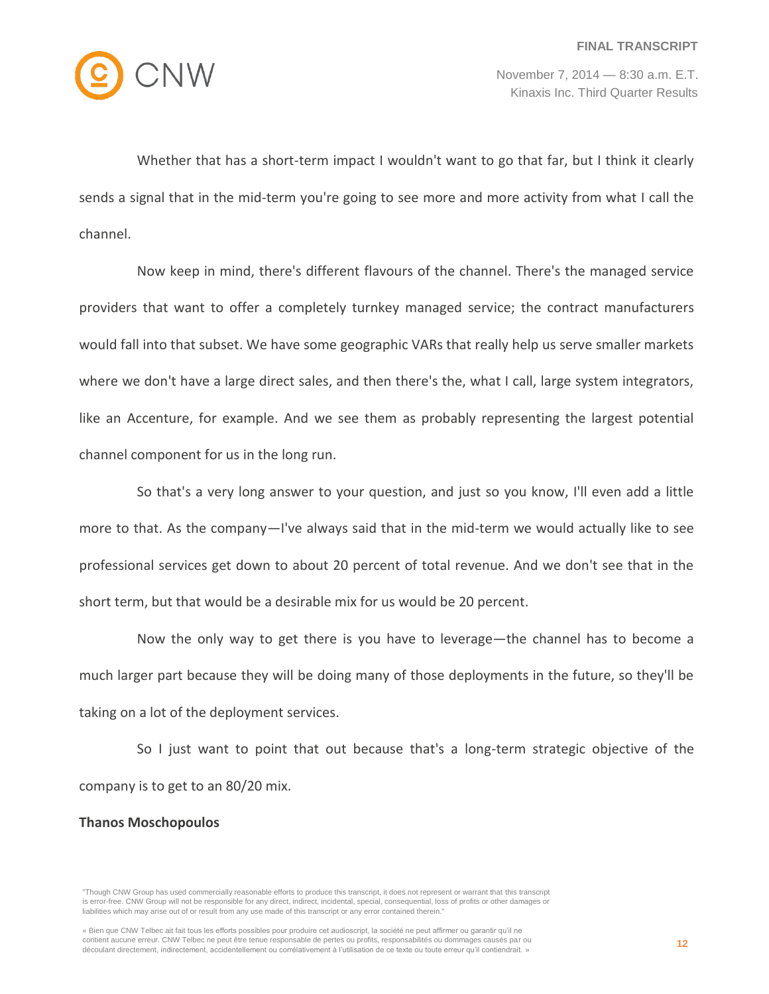

Whether that has a short-term impact I wouldn't want to go that far, but I think it clearly sends a signal that in the mid-term you're going to see more and more activity from what I call the channel.

Now keep in mind, there's different flavours of the channel. There's the managed service providers that want to offer a completely turnkey managed service; the contract manufacturers would fall into that subset. We have some geographic VARs that really help us serve smaller markets where we don't have a large direct sales, and then there's the, what I call, large system integrators, like an Accenture, for example. And we see them as probably representing the largest potential channel component for us in the long run.

So that's a very long answer to your question, and just so you know, I'll even add a little more to that. As the company—I've always said that in the mid-term we would actually like to see professional services get down to about 20 percent of total revenue. And we don't see that in the short term, but that would be a desirable mix for us would be 20 percent.

Now the only way to get there is you have to leverage—the channel has to become a much larger part because they will be doing many of those deployments in the future, so they'll be taking on a lot of the deployment services.

So I just want to point that out because that's a long-term strategic objective of the company is to get to an 80/20 mix.

#### **Thanos Moschopoulos**

<sup>&</sup>quot;Though CNW Group has used commercially reasonable efforts to produce this transcript, it does not represent or warrant that this transcript is error-free. CNW Group will not be responsible for any direct, indirect, incidental, special, consequential, loss of profits or other damages or liabilities which may arise out of or result from any use made of this transcript or any error contained therein."

<sup>«</sup> Bien que CNW Telbec ait fait tous les efforts possibles pour produire cet audioscript, la société ne peut affirmer ou garantir qu'il ne contient aucune erreur. CNW Telbec ne peut être tenue responsable de pertes ou profits, responsabilités ou dommages causés par ou découlant directement, indirectement, accidentellement ou corrélativement à l'utilisation de ce texte ou toute erreur qu'il contiendrait. »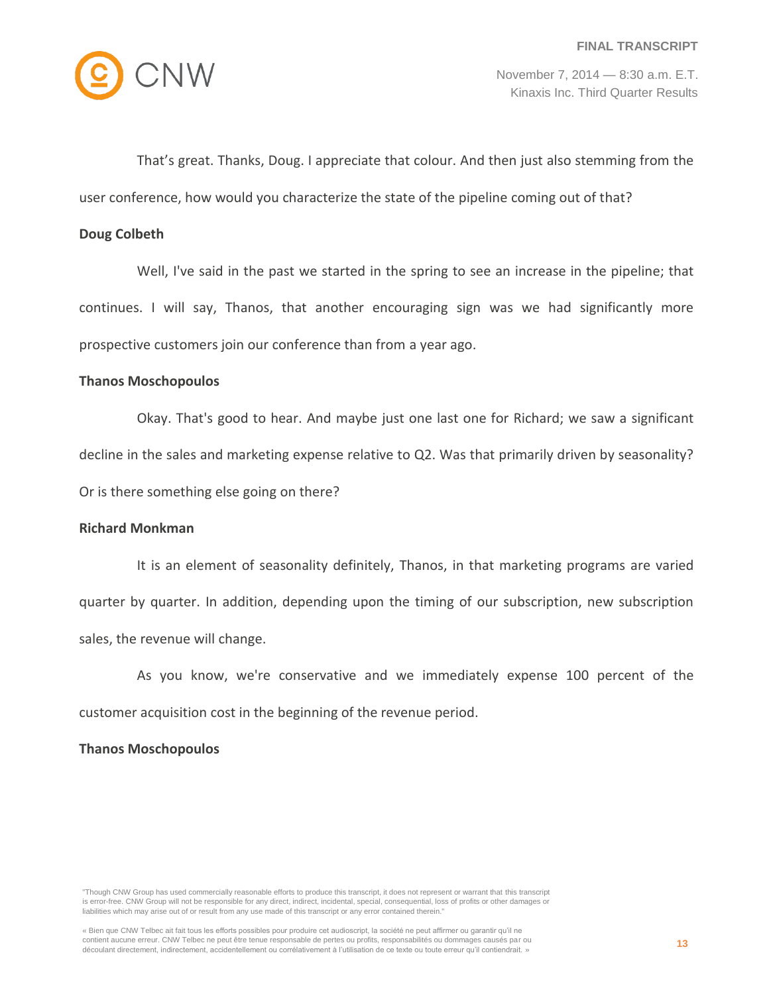

That's great. Thanks, Doug. I appreciate that colour. And then just also stemming from the

user conference, how would you characterize the state of the pipeline coming out of that?

## **Doug Colbeth**

Well, I've said in the past we started in the spring to see an increase in the pipeline; that continues. I will say, Thanos, that another encouraging sign was we had significantly more prospective customers join our conference than from a year ago.

## **Thanos Moschopoulos**

Okay. That's good to hear. And maybe just one last one for Richard; we saw a significant decline in the sales and marketing expense relative to Q2. Was that primarily driven by seasonality? Or is there something else going on there?

#### **Richard Monkman**

It is an element of seasonality definitely, Thanos, in that marketing programs are varied quarter by quarter. In addition, depending upon the timing of our subscription, new subscription sales, the revenue will change.

As you know, we're conservative and we immediately expense 100 percent of the customer acquisition cost in the beginning of the revenue period.

## **Thanos Moschopoulos**

<sup>&</sup>quot;Though CNW Group has used commercially reasonable efforts to produce this transcript, it does not represent or warrant that this transcript is error-free. CNW Group will not be responsible for any direct, indirect, incidental, special, consequential, loss of profits or other damages or liabilities which may arise out of or result from any use made of this transcript or any error contained therein."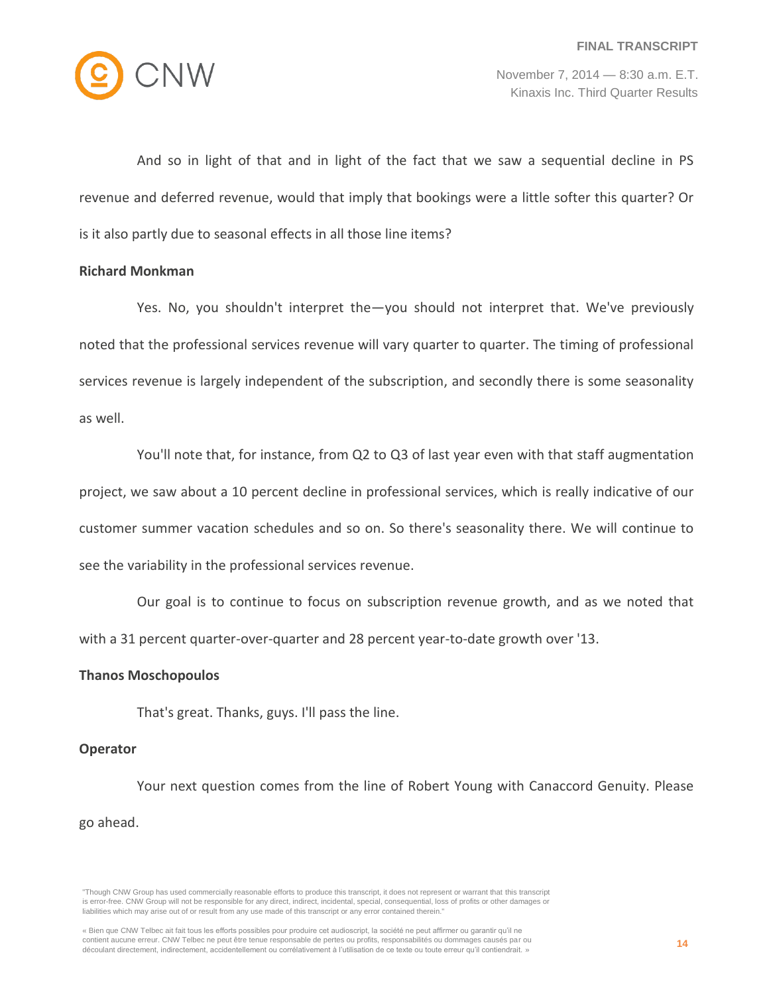

And so in light of that and in light of the fact that we saw a sequential decline in PS revenue and deferred revenue, would that imply that bookings were a little softer this quarter? Or is it also partly due to seasonal effects in all those line items?

## **Richard Monkman**

Yes. No, you shouldn't interpret the—you should not interpret that. We've previously noted that the professional services revenue will vary quarter to quarter. The timing of professional services revenue is largely independent of the subscription, and secondly there is some seasonality as well.

You'll note that, for instance, from Q2 to Q3 of last year even with that staff augmentation project, we saw about a 10 percent decline in professional services, which is really indicative of our customer summer vacation schedules and so on. So there's seasonality there. We will continue to see the variability in the professional services revenue.

Our goal is to continue to focus on subscription revenue growth, and as we noted that with a 31 percent quarter-over-quarter and 28 percent year-to-date growth over '13.

#### **Thanos Moschopoulos**

That's great. Thanks, guys. I'll pass the line.

#### **Operator**

Your next question comes from the line of Robert Young with Canaccord Genuity. Please go ahead.

<sup>&</sup>quot;Though CNW Group has used commercially reasonable efforts to produce this transcript, it does not represent or warrant that this transcript is error-free. CNW Group will not be responsible for any direct, indirect, incidental, special, consequential, loss of profits or other damages or liabilities which may arise out of or result from any use made of this transcript or any error contained therein."

<sup>«</sup> Bien que CNW Telbec ait fait tous les efforts possibles pour produire cet audioscript, la société ne peut affirmer ou garantir qu'il ne contient aucune erreur. CNW Telbec ne peut être tenue responsable de pertes ou profits, responsabilités ou dommages causés par ou découlant directement, indirectement, accidentellement ou corrélativement à l'utilisation de ce texte ou toute erreur qu'il contiendrait. »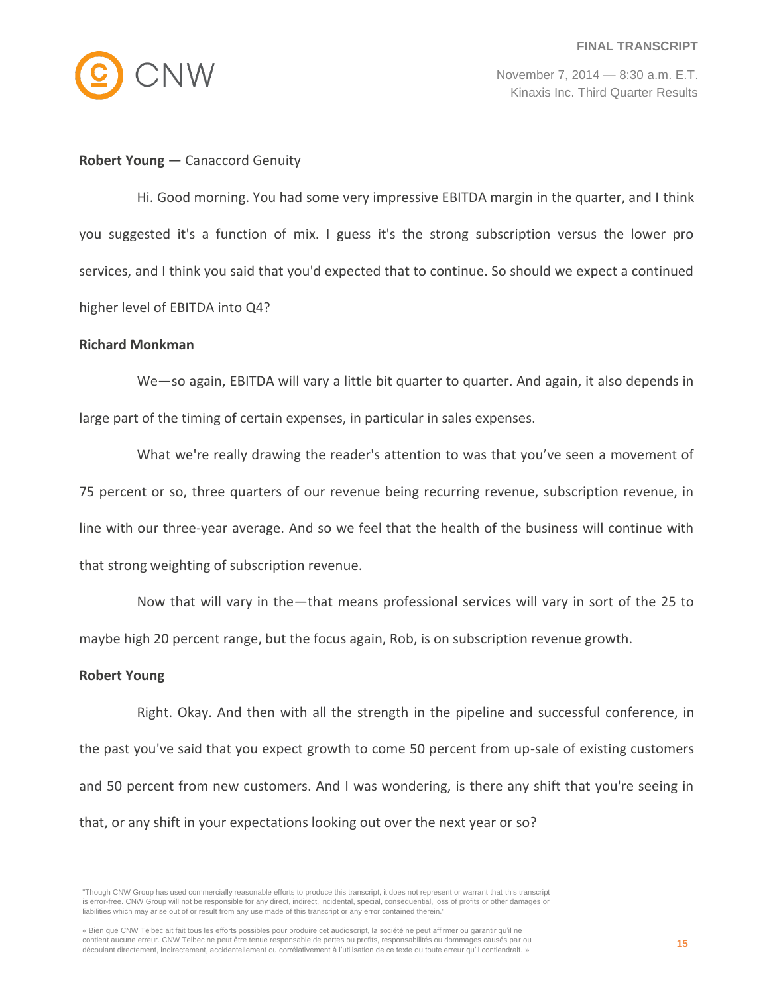

#### **Robert Young** — Canaccord Genuity

Hi. Good morning. You had some very impressive EBITDA margin in the quarter, and I think you suggested it's a function of mix. I guess it's the strong subscription versus the lower pro services, and I think you said that you'd expected that to continue. So should we expect a continued higher level of EBITDA into Q4?

#### **Richard Monkman**

We—so again, EBITDA will vary a little bit quarter to quarter. And again, it also depends in large part of the timing of certain expenses, in particular in sales expenses.

What we're really drawing the reader's attention to was that you've seen a movement of 75 percent or so, three quarters of our revenue being recurring revenue, subscription revenue, in line with our three-year average. And so we feel that the health of the business will continue with that strong weighting of subscription revenue.

Now that will vary in the—that means professional services will vary in sort of the 25 to maybe high 20 percent range, but the focus again, Rob, is on subscription revenue growth.

#### **Robert Young**

Right. Okay. And then with all the strength in the pipeline and successful conference, in the past you've said that you expect growth to come 50 percent from up-sale of existing customers and 50 percent from new customers. And I was wondering, is there any shift that you're seeing in that, or any shift in your expectations looking out over the next year or so?

<sup>&</sup>quot;Though CNW Group has used commercially reasonable efforts to produce this transcript, it does not represent or warrant that this transcript is error-free. CNW Group will not be responsible for any direct, indirect, incidental, special, consequential, loss of profits or other damages or liabilities which may arise out of or result from any use made of this transcript or any error contained therein."

<sup>«</sup> Bien que CNW Telbec ait fait tous les efforts possibles pour produire cet audioscript, la société ne peut affirmer ou garantir qu'il ne contient aucune erreur. CNW Telbec ne peut être tenue responsable de pertes ou profits, responsabilités ou dommages causés par ou découlant directement, indirectement, accidentellement ou corrélativement à l'utilisation de ce texte ou toute erreur qu'il contiendrait. »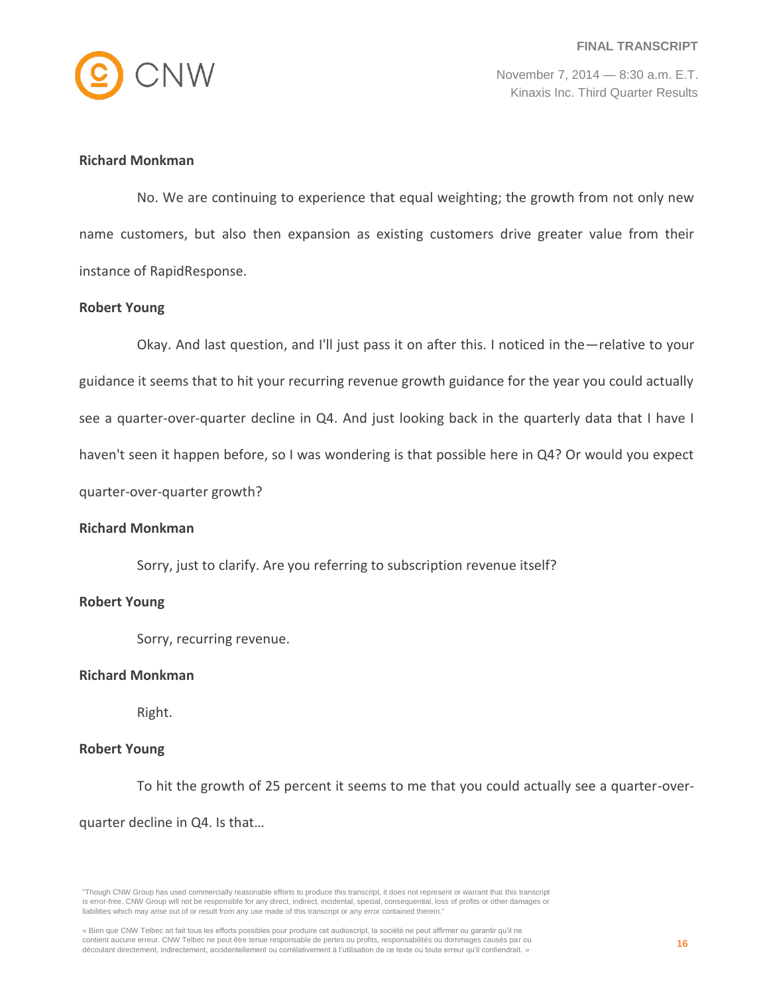

## **Richard Monkman**

No. We are continuing to experience that equal weighting; the growth from not only new name customers, but also then expansion as existing customers drive greater value from their instance of RapidResponse.

#### **Robert Young**

Okay. And last question, and I'll just pass it on after this. I noticed in the—relative to your guidance it seems that to hit your recurring revenue growth guidance for the year you could actually see a quarter-over-quarter decline in Q4. And just looking back in the quarterly data that I have I haven't seen it happen before, so I was wondering is that possible here in Q4? Or would you expect quarter-over-quarter growth?

#### **Richard Monkman**

Sorry, just to clarify. Are you referring to subscription revenue itself?

#### **Robert Young**

Sorry, recurring revenue.

#### **Richard Monkman**

Right.

## **Robert Young**

To hit the growth of 25 percent it seems to me that you could actually see a quarter-overquarter decline in Q4. Is that…

<sup>&</sup>quot;Though CNW Group has used commercially reasonable efforts to produce this transcript, it does not represent or warrant that this transcript is error-free. CNW Group will not be responsible for any direct, indirect, incidental, special, consequential, loss of profits or other damages or liabilities which may arise out of or result from any use made of this transcript or any error contained therein."

<sup>«</sup> Bien que CNW Telbec ait fait tous les efforts possibles pour produire cet audioscript, la société ne peut affirmer ou garantir qu'il ne contient aucune erreur. CNW Telbec ne peut être tenue responsable de pertes ou profits, responsabilités ou dommages causés par ou découlant directement, indirectement, accidentellement ou corrélativement à l'utilisation de ce texte ou toute erreur qu'il contiendrait. »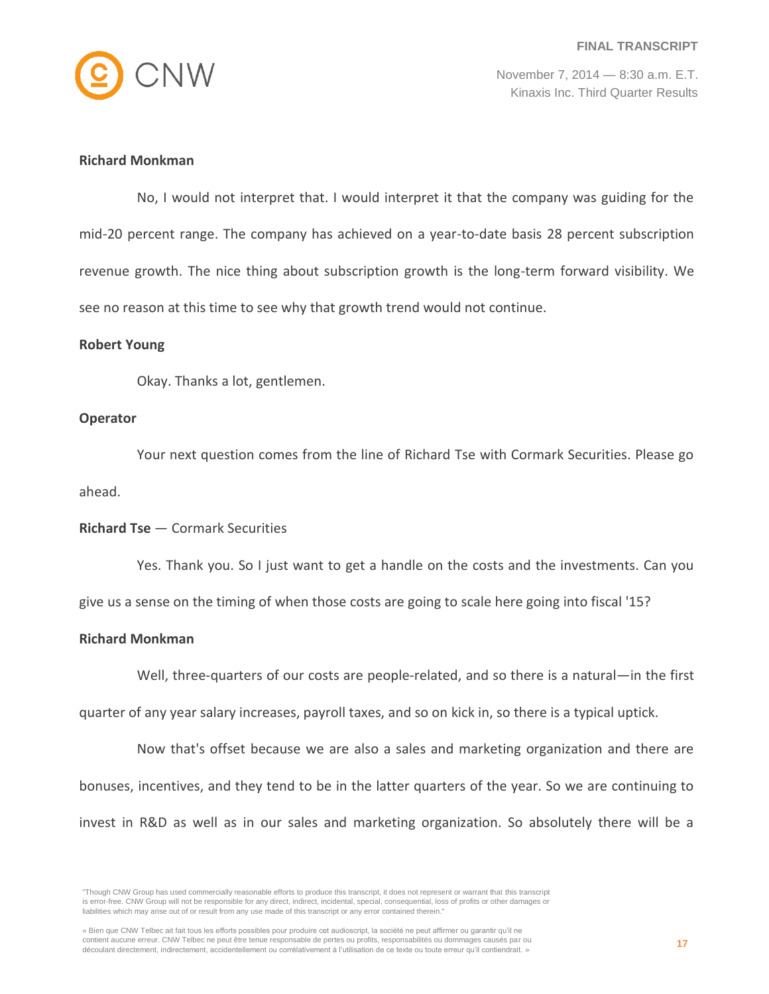

## **Richard Monkman**

No, I would not interpret that. I would interpret it that the company was guiding for the mid-20 percent range. The company has achieved on a year-to-date basis 28 percent subscription revenue growth. The nice thing about subscription growth is the long-term forward visibility. We see no reason at this time to see why that growth trend would not continue.

#### **Robert Young**

Okay. Thanks a lot, gentlemen.

#### **Operator**

Your next question comes from the line of Richard Tse with Cormark Securities. Please go ahead.

## **Richard Tse** — Cormark Securities

Yes. Thank you. So I just want to get a handle on the costs and the investments. Can you give us a sense on the timing of when those costs are going to scale here going into fiscal '15?

## **Richard Monkman**

Well, three-quarters of our costs are people-related, and so there is a natural—in the first

quarter of any year salary increases, payroll taxes, and so on kick in, so there is a typical uptick.

Now that's offset because we are also a sales and marketing organization and there are bonuses, incentives, and they tend to be in the latter quarters of the year. So we are continuing to invest in R&D as well as in our sales and marketing organization. So absolutely there will be a

<sup>&</sup>quot;Though CNW Group has used commercially reasonable efforts to produce this transcript, it does not represent or warrant that this transcript is error-free. CNW Group will not be responsible for any direct, indirect, incidental, special, consequential, loss of profits or other damages or liabilities which may arise out of or result from any use made of this transcript or any error contained therein."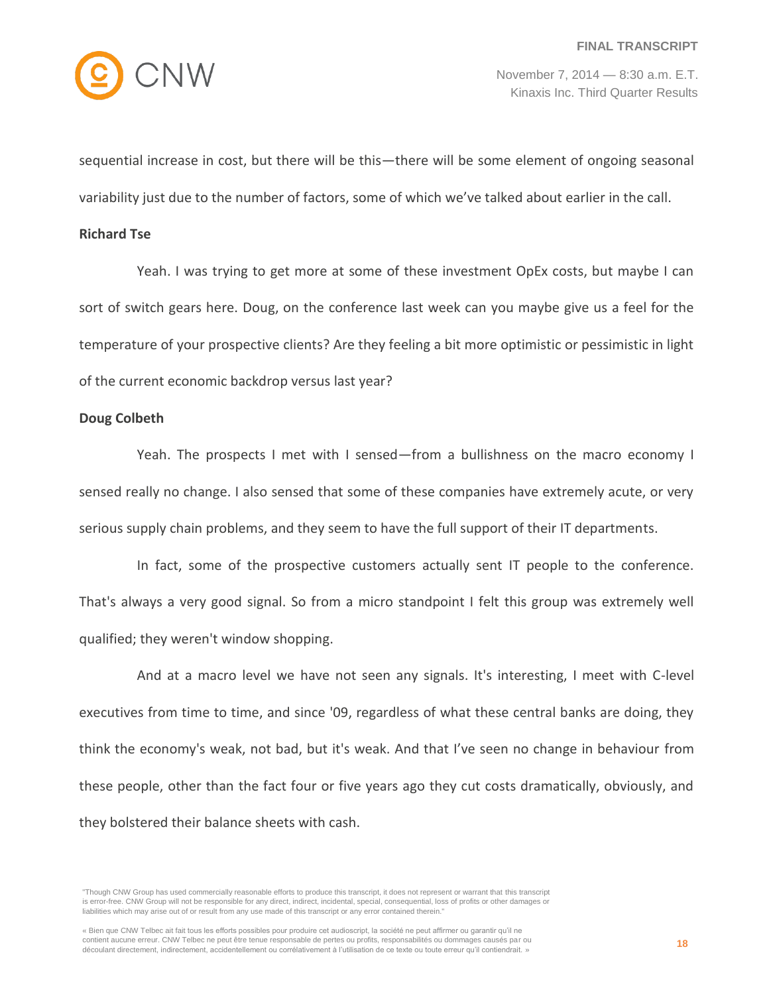

sequential increase in cost, but there will be this—there will be some element of ongoing seasonal variability just due to the number of factors, some of which we've talked about earlier in the call.

#### **Richard Tse**

Yeah. I was trying to get more at some of these investment OpEx costs, but maybe I can sort of switch gears here. Doug, on the conference last week can you maybe give us a feel for the temperature of your prospective clients? Are they feeling a bit more optimistic or pessimistic in light of the current economic backdrop versus last year?

#### **Doug Colbeth**

Yeah. The prospects I met with I sensed—from a bullishness on the macro economy I sensed really no change. I also sensed that some of these companies have extremely acute, or very serious supply chain problems, and they seem to have the full support of their IT departments.

In fact, some of the prospective customers actually sent IT people to the conference. That's always a very good signal. So from a micro standpoint I felt this group was extremely well qualified; they weren't window shopping.

And at a macro level we have not seen any signals. It's interesting, I meet with C-level executives from time to time, and since '09, regardless of what these central banks are doing, they think the economy's weak, not bad, but it's weak. And that I've seen no change in behaviour from these people, other than the fact four or five years ago they cut costs dramatically, obviously, and they bolstered their balance sheets with cash.

"Though CNW Group has used commercially reasonable efforts to produce this transcript, it does not represent or warrant that this transcript is error-free. CNW Group will not be responsible for any direct, indirect, incidental, special, consequential, loss of profits or other damages or liabilities which may arise out of or result from any use made of this transcript or any error contained therein."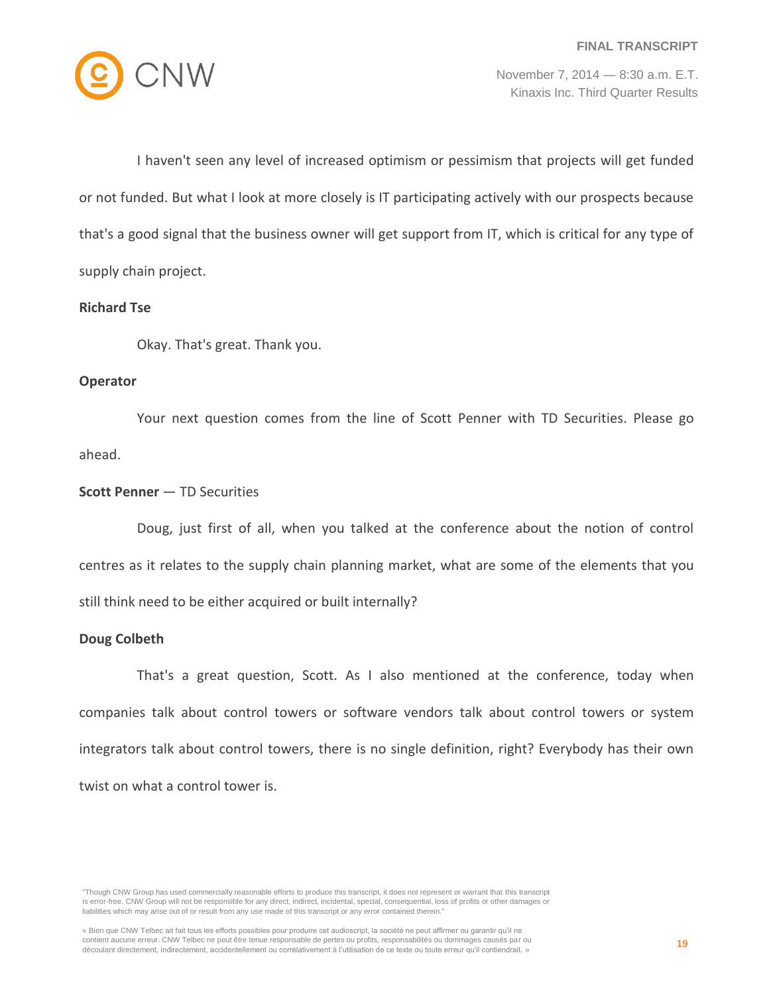

I haven't seen any level of increased optimism or pessimism that projects will get funded or not funded. But what I look at more closely is IT participating actively with our prospects because that's a good signal that the business owner will get support from IT, which is critical for any type of supply chain project.

## **Richard Tse**

Okay. That's great. Thank you.

## **Operator**

Your next question comes from the line of Scott Penner with TD Securities. Please go ahead.

## **Scott Penner** — TD Securities

Doug, just first of all, when you talked at the conference about the notion of control centres as it relates to the supply chain planning market, what are some of the elements that you still think need to be either acquired or built internally?

## **Doug Colbeth**

That's a great question, Scott. As I also mentioned at the conference, today when companies talk about control towers or software vendors talk about control towers or system integrators talk about control towers, there is no single definition, right? Everybody has their own twist on what a control tower is.

<sup>&</sup>quot;Though CNW Group has used commercially reasonable efforts to produce this transcript, it does not represent or warrant that this transcript is error-free. CNW Group will not be responsible for any direct, indirect, incidental, special, consequential, loss of profits or other damages or liabilities which may arise out of or result from any use made of this transcript or any error contained therein."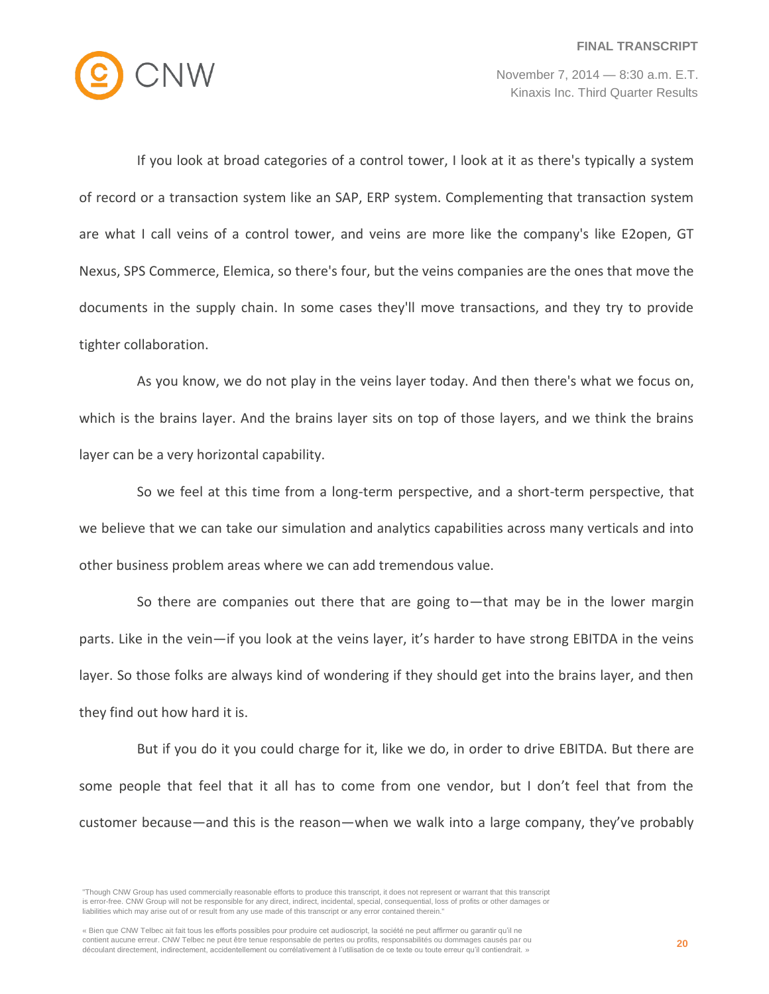

If you look at broad categories of a control tower, I look at it as there's typically a system of record or a transaction system like an SAP, ERP system. Complementing that transaction system are what I call veins of a control tower, and veins are more like the company's like E2open, GT Nexus, SPS Commerce, Elemica, so there's four, but the veins companies are the ones that move the documents in the supply chain. In some cases they'll move transactions, and they try to provide tighter collaboration.

As you know, we do not play in the veins layer today. And then there's what we focus on, which is the brains layer. And the brains layer sits on top of those layers, and we think the brains layer can be a very horizontal capability.

So we feel at this time from a long-term perspective, and a short-term perspective, that we believe that we can take our simulation and analytics capabilities across many verticals and into other business problem areas where we can add tremendous value.

So there are companies out there that are going to—that may be in the lower margin parts. Like in the vein—if you look at the veins layer, it's harder to have strong EBITDA in the veins layer. So those folks are always kind of wondering if they should get into the brains layer, and then they find out how hard it is.

But if you do it you could charge for it, like we do, in order to drive EBITDA. But there are some people that feel that it all has to come from one vendor, but I don't feel that from the customer because—and this is the reason—when we walk into a large company, they've probably

<sup>&</sup>quot;Though CNW Group has used commercially reasonable efforts to produce this transcript, it does not represent or warrant that this transcript is error-free. CNW Group will not be responsible for any direct, indirect, incidental, special, consequential, loss of profits or other damages or liabilities which may arise out of or result from any use made of this transcript or any error contained therein."

<sup>«</sup> Bien que CNW Telbec ait fait tous les efforts possibles pour produire cet audioscript, la société ne peut affirmer ou garantir qu'il ne contient aucune erreur. CNW Telbec ne peut être tenue responsable de pertes ou profits, responsabilités ou dommages causés par ou découlant directement, indirectement, accidentellement ou corrélativement à l'utilisation de ce texte ou toute erreur qu'il contiendrait. »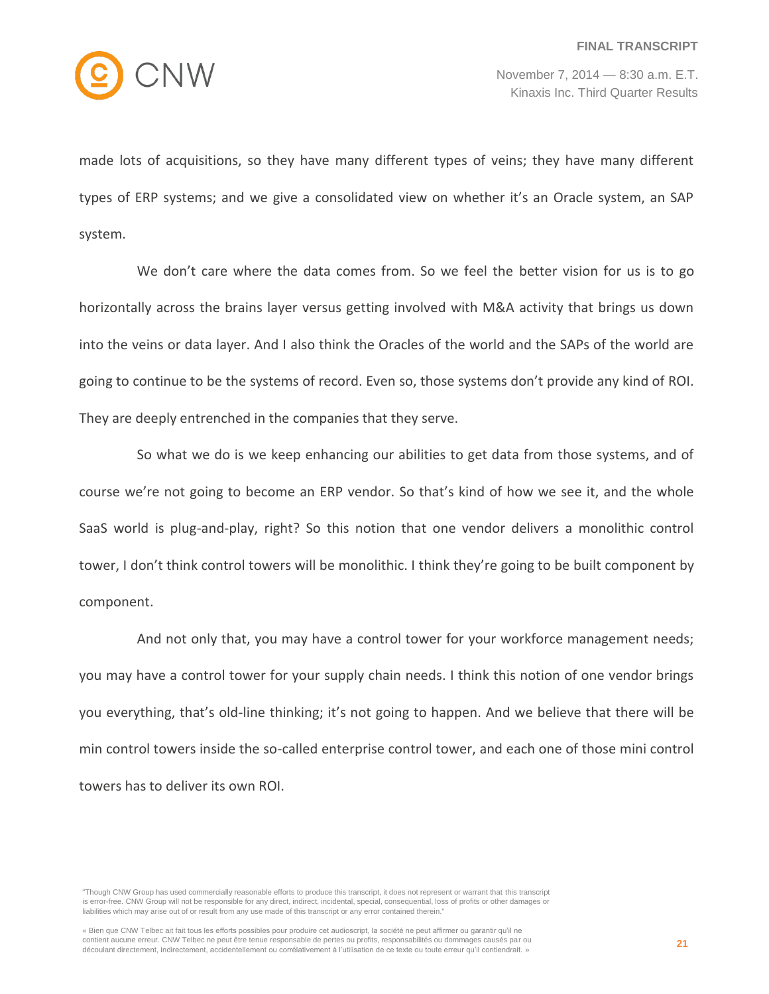

made lots of acquisitions, so they have many different types of veins; they have many different types of ERP systems; and we give a consolidated view on whether it's an Oracle system, an SAP system.

We don't care where the data comes from. So we feel the better vision for us is to go horizontally across the brains layer versus getting involved with M&A activity that brings us down into the veins or data layer. And I also think the Oracles of the world and the SAPs of the world are going to continue to be the systems of record. Even so, those systems don't provide any kind of ROI. They are deeply entrenched in the companies that they serve.

So what we do is we keep enhancing our abilities to get data from those systems, and of course we're not going to become an ERP vendor. So that's kind of how we see it, and the whole SaaS world is plug-and-play, right? So this notion that one vendor delivers a monolithic control tower, I don't think control towers will be monolithic. I think they're going to be built component by component.

And not only that, you may have a control tower for your workforce management needs; you may have a control tower for your supply chain needs. I think this notion of one vendor brings you everything, that's old-line thinking; it's not going to happen. And we believe that there will be min control towers inside the so-called enterprise control tower, and each one of those mini control towers has to deliver its own ROI.

<sup>&</sup>quot;Though CNW Group has used commercially reasonable efforts to produce this transcript, it does not represent or warrant that this transcript is error-free. CNW Group will not be responsible for any direct, indirect, incidental, special, consequential, loss of profits or other damages or liabilities which may arise out of or result from any use made of this transcript or any error contained therein."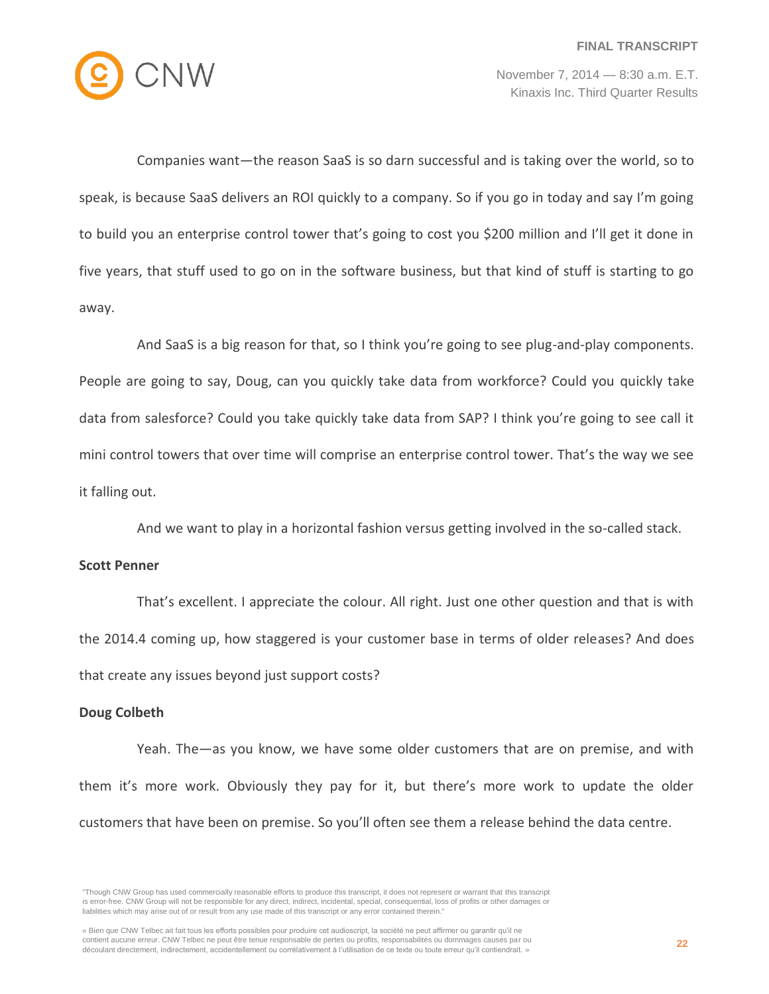

Companies want—the reason SaaS is so darn successful and is taking over the world, so to speak, is because SaaS delivers an ROI quickly to a company. So if you go in today and say I'm going to build you an enterprise control tower that's going to cost you \$200 million and I'll get it done in five years, that stuff used to go on in the software business, but that kind of stuff is starting to go away.

And SaaS is a big reason for that, so I think you're going to see plug-and-play components. People are going to say, Doug, can you quickly take data from workforce? Could you quickly take data from salesforce? Could you take quickly take data from SAP? I think you're going to see call it mini control towers that over time will comprise an enterprise control tower. That's the way we see it falling out.

And we want to play in a horizontal fashion versus getting involved in the so-called stack.

## **Scott Penner**

That's excellent. I appreciate the colour. All right. Just one other question and that is with the 2014.4 coming up, how staggered is your customer base in terms of older releases? And does that create any issues beyond just support costs?

#### **Doug Colbeth**

Yeah. The—as you know, we have some older customers that are on premise, and with them it's more work. Obviously they pay for it, but there's more work to update the older customers that have been on premise. So you'll often see them a release behind the data centre.

« Bien que CNW Telbec ait fait tous les efforts possibles pour produire cet audioscript, la société ne peut affirmer ou garantir qu'il ne contient aucune erreur. CNW Telbec ne peut être tenue responsable de pertes ou profits, responsabilités ou dommages causés par ou découlant directement, indirectement, accidentellement ou corrélativement à l'utilisation de ce texte ou toute erreur qu'il contiendrait. »

<sup>&</sup>quot;Though CNW Group has used commercially reasonable efforts to produce this transcript, it does not represent or warrant that this transcript is error-free. CNW Group will not be responsible for any direct, indirect, incidental, special, consequential, loss of profits or other damages or liabilities which may arise out of or result from any use made of this transcript or any error contained therein."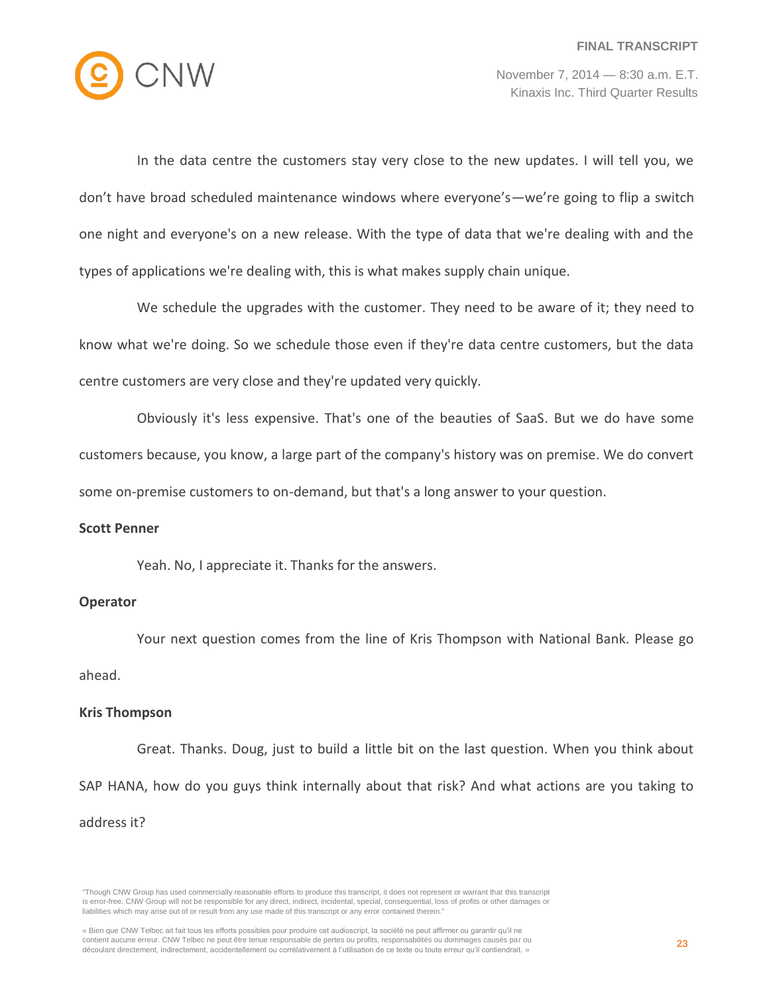

In the data centre the customers stay very close to the new updates. I will tell you, we don't have broad scheduled maintenance windows where everyone's—we're going to flip a switch one night and everyone's on a new release. With the type of data that we're dealing with and the types of applications we're dealing with, this is what makes supply chain unique.

We schedule the upgrades with the customer. They need to be aware of it; they need to know what we're doing. So we schedule those even if they're data centre customers, but the data centre customers are very close and they're updated very quickly.

Obviously it's less expensive. That's one of the beauties of SaaS. But we do have some customers because, you know, a large part of the company's history was on premise. We do convert some on-premise customers to on-demand, but that's a long answer to your question.

#### **Scott Penner**

Yeah. No, I appreciate it. Thanks for the answers.

#### **Operator**

Your next question comes from the line of Kris Thompson with National Bank. Please go ahead.

#### **Kris Thompson**

Great. Thanks. Doug, just to build a little bit on the last question. When you think about SAP HANA, how do you guys think internally about that risk? And what actions are you taking to address it?

<sup>&</sup>quot;Though CNW Group has used commercially reasonable efforts to produce this transcript, it does not represent or warrant that this transcript is error-free. CNW Group will not be responsible for any direct, indirect, incidental, special, consequential, loss of profits or other damages or liabilities which may arise out of or result from any use made of this transcript or any error contained therein."

<sup>«</sup> Bien que CNW Telbec ait fait tous les efforts possibles pour produire cet audioscript, la société ne peut affirmer ou garantir qu'il ne contient aucune erreur. CNW Telbec ne peut être tenue responsable de pertes ou profits, responsabilités ou dommages causés par ou découlant directement, indirectement, accidentellement ou corrélativement à l'utilisation de ce texte ou toute erreur qu'il contiendrait. »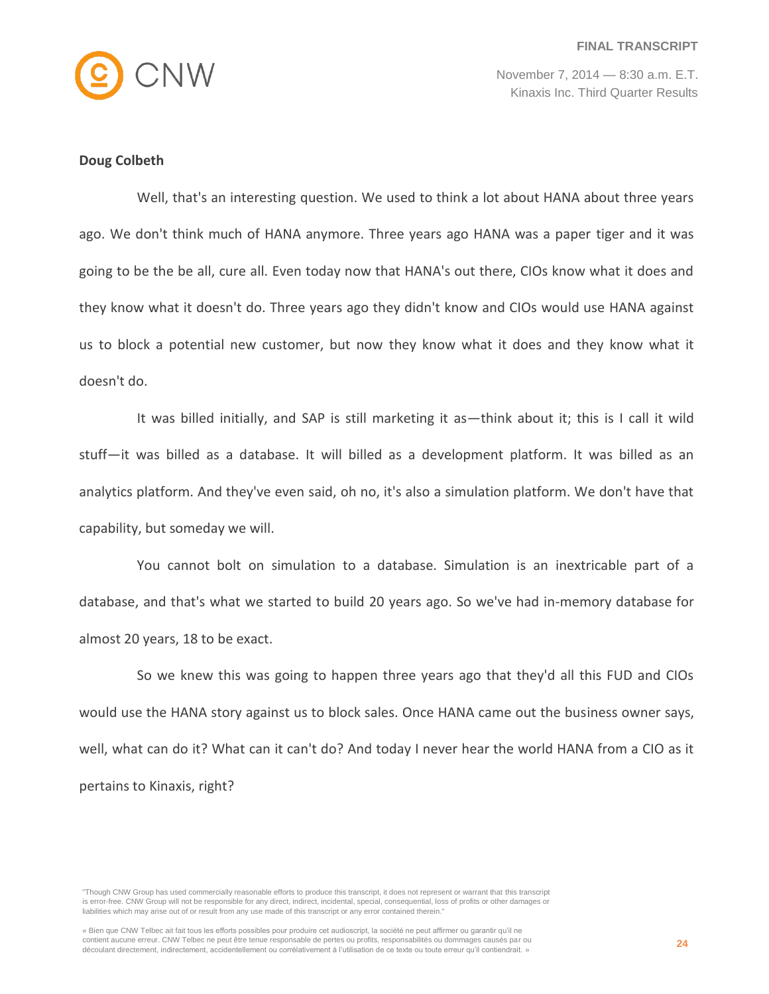

## **Doug Colbeth**

Well, that's an interesting question. We used to think a lot about HANA about three years ago. We don't think much of HANA anymore. Three years ago HANA was a paper tiger and it was going to be the be all, cure all. Even today now that HANA's out there, CIOs know what it does and they know what it doesn't do. Three years ago they didn't know and CIOs would use HANA against us to block a potential new customer, but now they know what it does and they know what it doesn't do.

It was billed initially, and SAP is still marketing it as—think about it; this is I call it wild stuff—it was billed as a database. It will billed as a development platform. It was billed as an analytics platform. And they've even said, oh no, it's also a simulation platform. We don't have that capability, but someday we will.

You cannot bolt on simulation to a database. Simulation is an inextricable part of a database, and that's what we started to build 20 years ago. So we've had in-memory database for almost 20 years, 18 to be exact.

So we knew this was going to happen three years ago that they'd all this FUD and CIOs would use the HANA story against us to block sales. Once HANA came out the business owner says, well, what can do it? What can it can't do? And today I never hear the world HANA from a CIO as it pertains to Kinaxis, right?

<sup>&</sup>quot;Though CNW Group has used commercially reasonable efforts to produce this transcript, it does not represent or warrant that this transcript is error-free. CNW Group will not be responsible for any direct, indirect, incidental, special, consequential, loss of profits or other damages or liabilities which may arise out of or result from any use made of this transcript or any error contained therein."

<sup>«</sup> Bien que CNW Telbec ait fait tous les efforts possibles pour produire cet audioscript, la société ne peut affirmer ou garantir qu'il ne contient aucune erreur. CNW Telbec ne peut être tenue responsable de pertes ou profits, responsabilités ou dommages causés par ou découlant directement, indirectement, accidentellement ou corrélativement à l'utilisation de ce texte ou toute erreur qu'il contiendrait. »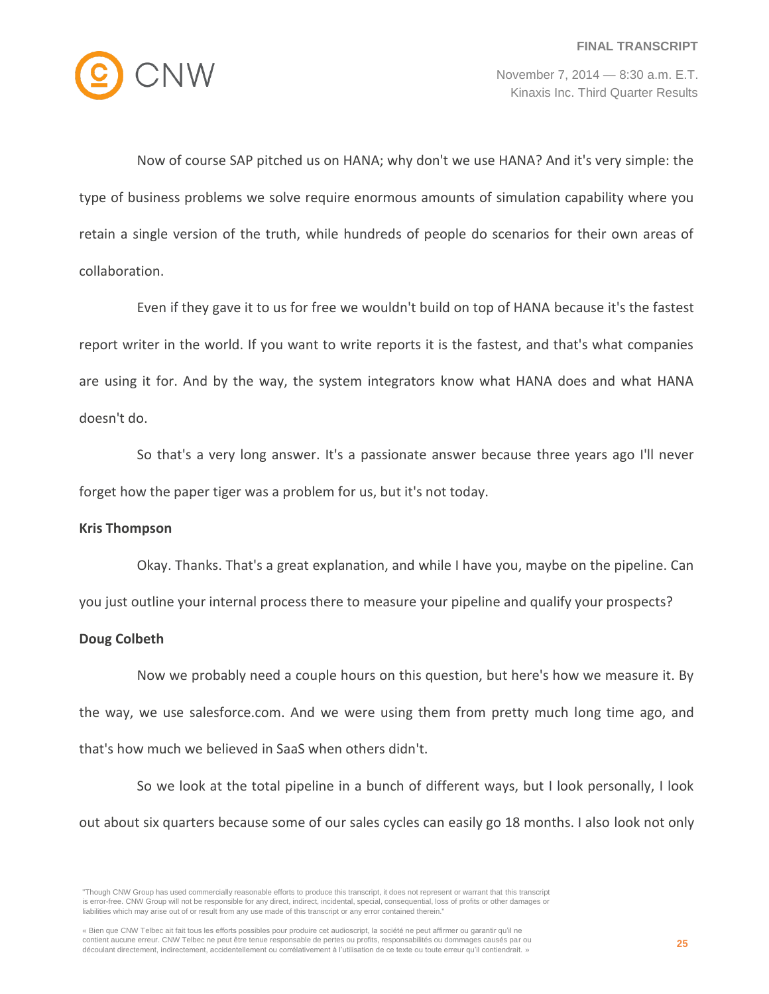

Now of course SAP pitched us on HANA; why don't we use HANA? And it's very simple: the type of business problems we solve require enormous amounts of simulation capability where you retain a single version of the truth, while hundreds of people do scenarios for their own areas of collaboration.

Even if they gave it to us for free we wouldn't build on top of HANA because it's the fastest report writer in the world. If you want to write reports it is the fastest, and that's what companies are using it for. And by the way, the system integrators know what HANA does and what HANA doesn't do.

So that's a very long answer. It's a passionate answer because three years ago I'll never forget how the paper tiger was a problem for us, but it's not today.

## **Kris Thompson**

Okay. Thanks. That's a great explanation, and while I have you, maybe on the pipeline. Can you just outline your internal process there to measure your pipeline and qualify your prospects?

## **Doug Colbeth**

Now we probably need a couple hours on this question, but here's how we measure it. By the way, we use salesforce.com. And we were using them from pretty much long time ago, and that's how much we believed in SaaS when others didn't.

So we look at the total pipeline in a bunch of different ways, but I look personally, I look out about six quarters because some of our sales cycles can easily go 18 months. I also look not only

<sup>&</sup>quot;Though CNW Group has used commercially reasonable efforts to produce this transcript, it does not represent or warrant that this transcript is error-free. CNW Group will not be responsible for any direct, indirect, incidental, special, consequential, loss of profits or other damages or liabilities which may arise out of or result from any use made of this transcript or any error contained therein."

<sup>«</sup> Bien que CNW Telbec ait fait tous les efforts possibles pour produire cet audioscript, la société ne peut affirmer ou garantir qu'il ne contient aucune erreur. CNW Telbec ne peut être tenue responsable de pertes ou profits, responsabilités ou dommages causés par ou découlant directement, indirectement, accidentellement ou corrélativement à l'utilisation de ce texte ou toute erreur qu'il contiendrait. »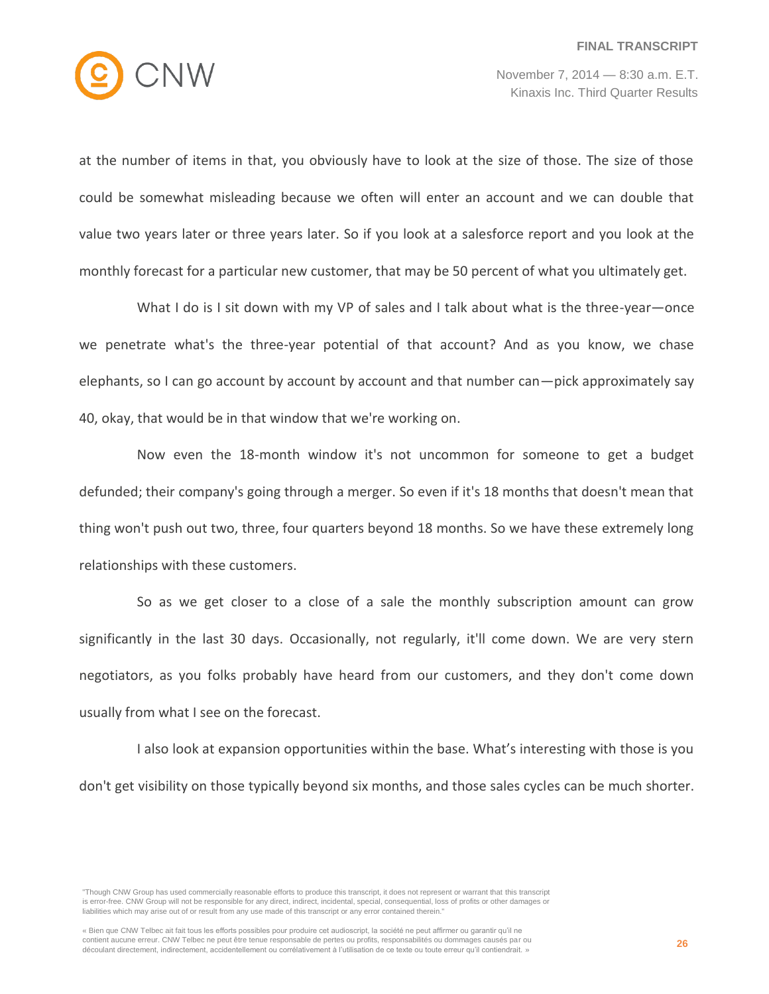

at the number of items in that, you obviously have to look at the size of those. The size of those could be somewhat misleading because we often will enter an account and we can double that value two years later or three years later. So if you look at a salesforce report and you look at the monthly forecast for a particular new customer, that may be 50 percent of what you ultimately get.

What I do is I sit down with my VP of sales and I talk about what is the three-year—once we penetrate what's the three-year potential of that account? And as you know, we chase elephants, so I can go account by account by account and that number can—pick approximately say 40, okay, that would be in that window that we're working on.

Now even the 18-month window it's not uncommon for someone to get a budget defunded; their company's going through a merger. So even if it's 18 months that doesn't mean that thing won't push out two, three, four quarters beyond 18 months. So we have these extremely long relationships with these customers.

So as we get closer to a close of a sale the monthly subscription amount can grow significantly in the last 30 days. Occasionally, not regularly, it'll come down. We are very stern negotiators, as you folks probably have heard from our customers, and they don't come down usually from what I see on the forecast.

I also look at expansion opportunities within the base. What's interesting with those is you don't get visibility on those typically beyond six months, and those sales cycles can be much shorter.

<sup>&</sup>quot;Though CNW Group has used commercially reasonable efforts to produce this transcript, it does not represent or warrant that this transcript is error-free. CNW Group will not be responsible for any direct, indirect, incidental, special, consequential, loss of profits or other damages or liabilities which may arise out of or result from any use made of this transcript or any error contained therein."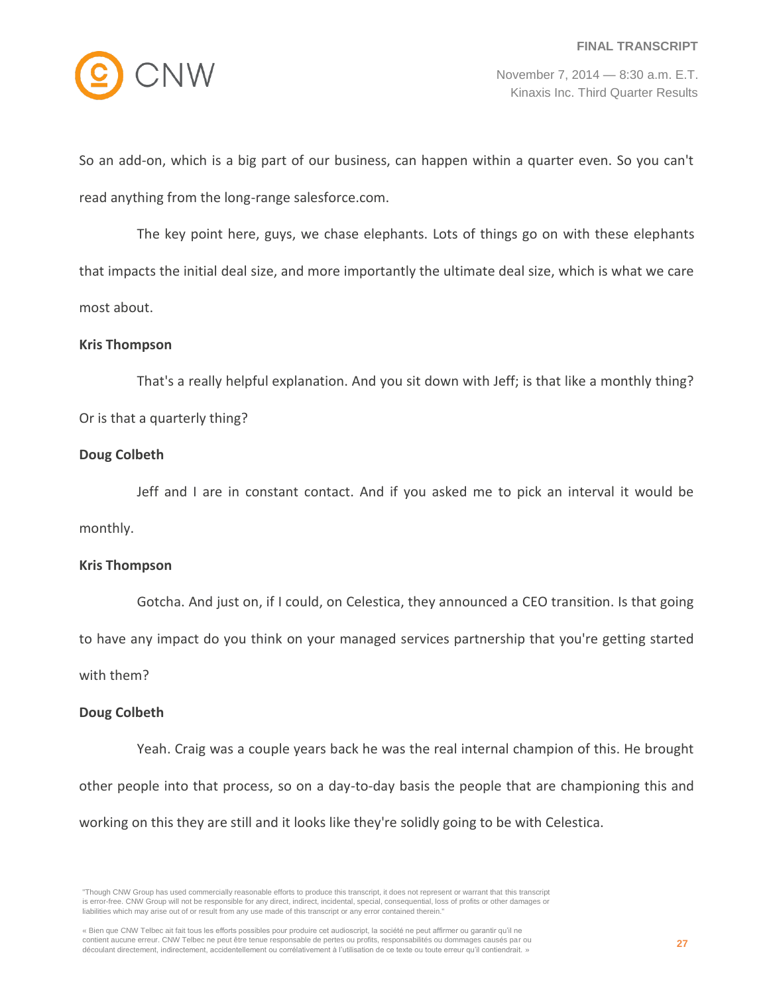

So an add-on, which is a big part of our business, can happen within a quarter even. So you can't read anything from the long-range salesforce.com.

The key point here, guys, we chase elephants. Lots of things go on with these elephants that impacts the initial deal size, and more importantly the ultimate deal size, which is what we care most about.

#### **Kris Thompson**

That's a really helpful explanation. And you sit down with Jeff; is that like a monthly thing? Or is that a quarterly thing?

## **Doug Colbeth**

Jeff and I are in constant contact. And if you asked me to pick an interval it would be monthly.

#### **Kris Thompson**

Gotcha. And just on, if I could, on Celestica, they announced a CEO transition. Is that going

to have any impact do you think on your managed services partnership that you're getting started

with them?

## **Doug Colbeth**

Yeah. Craig was a couple years back he was the real internal champion of this. He brought other people into that process, so on a day-to-day basis the people that are championing this and working on this they are still and it looks like they're solidly going to be with Celestica.

<sup>&</sup>quot;Though CNW Group has used commercially reasonable efforts to produce this transcript, it does not represent or warrant that this transcript is error-free. CNW Group will not be responsible for any direct, indirect, incidental, special, consequential, loss of profits or other damages or liabilities which may arise out of or result from any use made of this transcript or any error contained therein."

<sup>«</sup> Bien que CNW Telbec ait fait tous les efforts possibles pour produire cet audioscript, la société ne peut affirmer ou garantir qu'il ne contient aucune erreur. CNW Telbec ne peut être tenue responsable de pertes ou profits, responsabilités ou dommages causés par ou découlant directement, indirectement, accidentellement ou corrélativement à l'utilisation de ce texte ou toute erreur qu'il contiendrait. »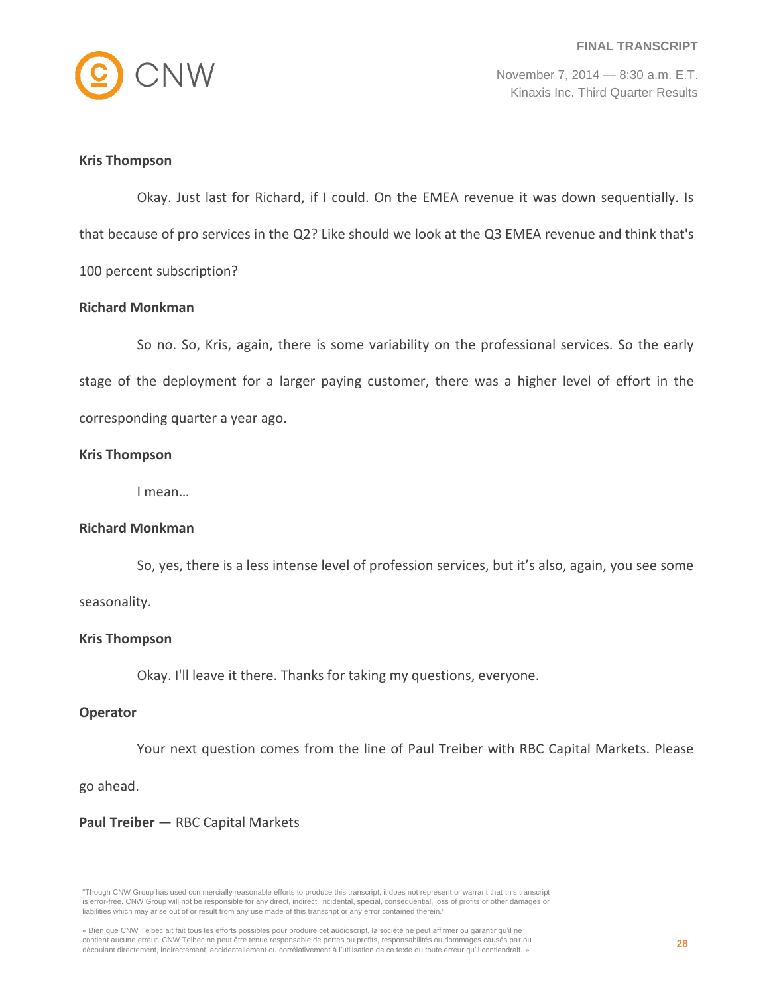

## **Kris Thompson**

Okay. Just last for Richard, if I could. On the EMEA revenue it was down sequentially. Is that because of pro services in the Q2? Like should we look at the Q3 EMEA revenue and think that's 100 percent subscription?

#### **Richard Monkman**

So no. So, Kris, again, there is some variability on the professional services. So the early stage of the deployment for a larger paying customer, there was a higher level of effort in the corresponding quarter a year ago.

## **Kris Thompson**

I mean…

## **Richard Monkman**

So, yes, there is a less intense level of profession services, but it's also, again, you see some

seasonality.

#### **Kris Thompson**

Okay. I'll leave it there. Thanks for taking my questions, everyone.

#### **Operator**

Your next question comes from the line of Paul Treiber with RBC Capital Markets. Please

go ahead.

#### **Paul Treiber** — RBC Capital Markets

<sup>&</sup>quot;Though CNW Group has used commercially reasonable efforts to produce this transcript, it does not represent or warrant that this transcript is error-free. CNW Group will not be responsible for any direct, indirect, incidental, special, consequential, loss of profits or other damages or liabilities which may arise out of or result from any use made of this transcript or any error contained therein."

<sup>«</sup> Bien que CNW Telbec ait fait tous les efforts possibles pour produire cet audioscript, la société ne peut affirmer ou garantir qu'il ne contient aucune erreur. CNW Telbec ne peut être tenue responsable de pertes ou profits, responsabilités ou dommages causés par ou découlant directement, indirectement, accidentellement ou corrélativement à l'utilisation de ce texte ou toute erreur qu'il contiendrait. »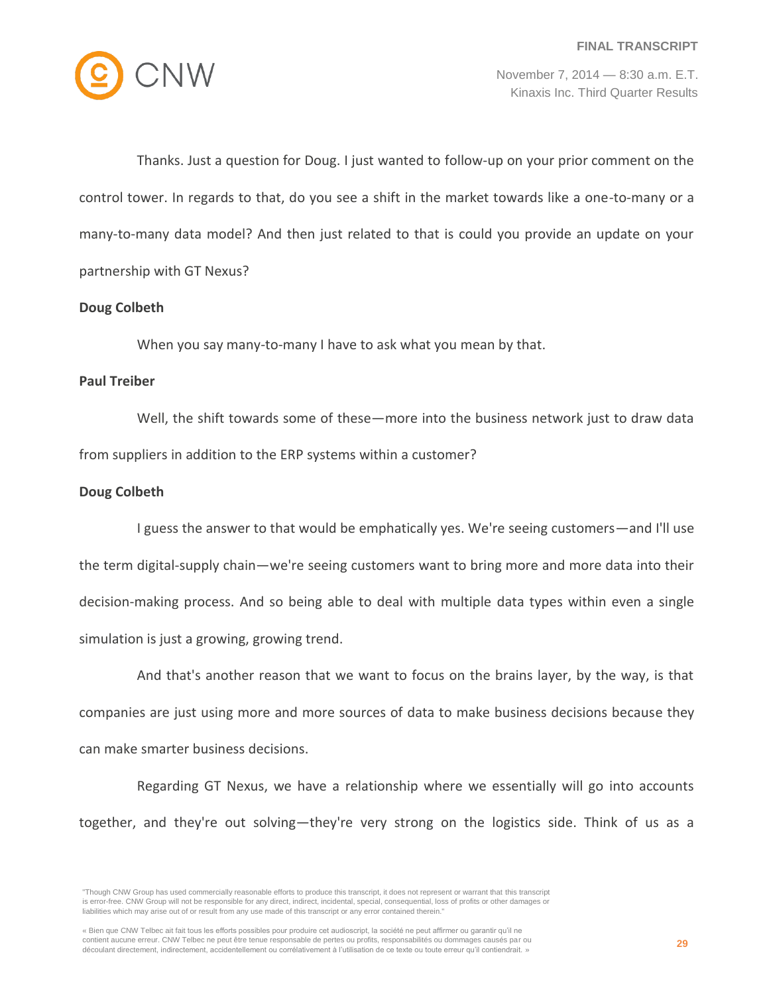

Thanks. Just a question for Doug. I just wanted to follow-up on your prior comment on the control tower. In regards to that, do you see a shift in the market towards like a one-to-many or a many-to-many data model? And then just related to that is could you provide an update on your partnership with GT Nexus?

## **Doug Colbeth**

When you say many-to-many I have to ask what you mean by that.

#### **Paul Treiber**

Well, the shift towards some of these—more into the business network just to draw data from suppliers in addition to the ERP systems within a customer?

## **Doug Colbeth**

I guess the answer to that would be emphatically yes. We're seeing customers—and I'll use the term digital-supply chain—we're seeing customers want to bring more and more data into their decision-making process. And so being able to deal with multiple data types within even a single simulation is just a growing, growing trend.

And that's another reason that we want to focus on the brains layer, by the way, is that companies are just using more and more sources of data to make business decisions because they can make smarter business decisions.

Regarding GT Nexus, we have a relationship where we essentially will go into accounts together, and they're out solving—they're very strong on the logistics side. Think of us as a

<sup>&</sup>quot;Though CNW Group has used commercially reasonable efforts to produce this transcript, it does not represent or warrant that this transcript is error-free. CNW Group will not be responsible for any direct, indirect, incidental, special, consequential, loss of profits or other damages or liabilities which may arise out of or result from any use made of this transcript or any error contained therein."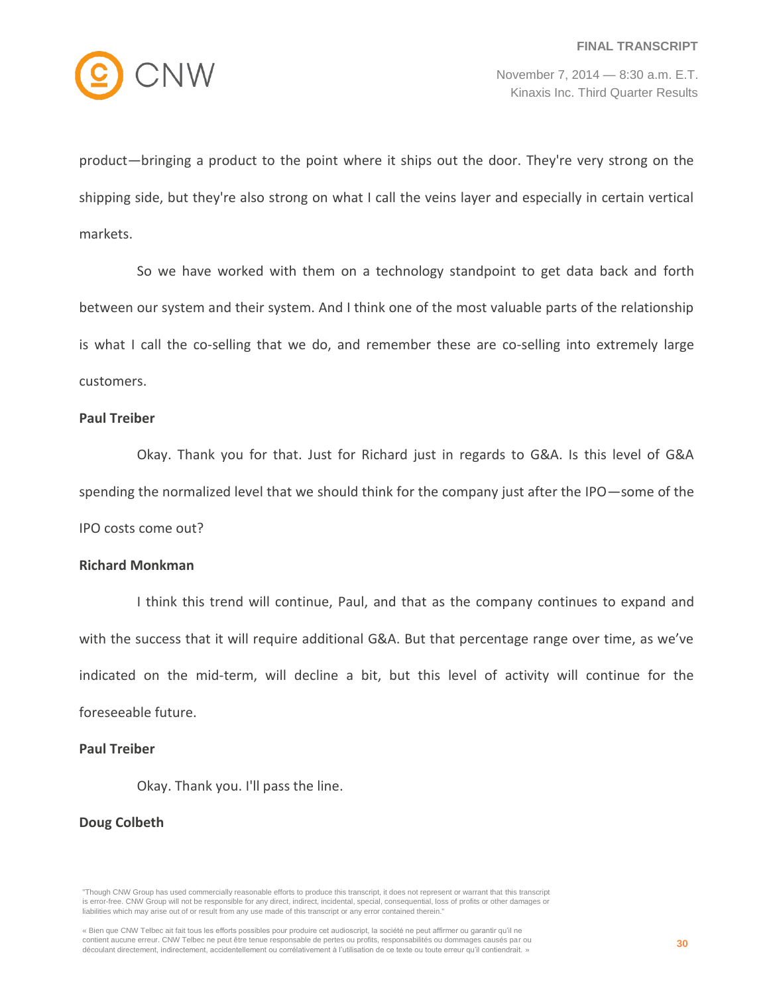

product—bringing a product to the point where it ships out the door. They're very strong on the shipping side, but they're also strong on what I call the veins layer and especially in certain vertical markets.

So we have worked with them on a technology standpoint to get data back and forth between our system and their system. And I think one of the most valuable parts of the relationship is what I call the co-selling that we do, and remember these are co-selling into extremely large customers.

#### **Paul Treiber**

Okay. Thank you for that. Just for Richard just in regards to G&A. Is this level of G&A spending the normalized level that we should think for the company just after the IPO—some of the IPO costs come out?

#### **Richard Monkman**

I think this trend will continue, Paul, and that as the company continues to expand and with the success that it will require additional G&A. But that percentage range over time, as we've indicated on the mid-term, will decline a bit, but this level of activity will continue for the foreseeable future.

## **Paul Treiber**

Okay. Thank you. I'll pass the line.

## **Doug Colbeth**

<sup>&</sup>quot;Though CNW Group has used commercially reasonable efforts to produce this transcript, it does not represent or warrant that this transcript is error-free. CNW Group will not be responsible for any direct, indirect, incidental, special, consequential, loss of profits or other damages or liabilities which may arise out of or result from any use made of this transcript or any error contained therein."

<sup>«</sup> Bien que CNW Telbec ait fait tous les efforts possibles pour produire cet audioscript, la société ne peut affirmer ou garantir qu'il ne contient aucune erreur. CNW Telbec ne peut être tenue responsable de pertes ou profits, responsabilités ou dommages causés par ou découlant directement, indirectement, accidentellement ou corrélativement à l'utilisation de ce texte ou toute erreur qu'il contiendrait. »